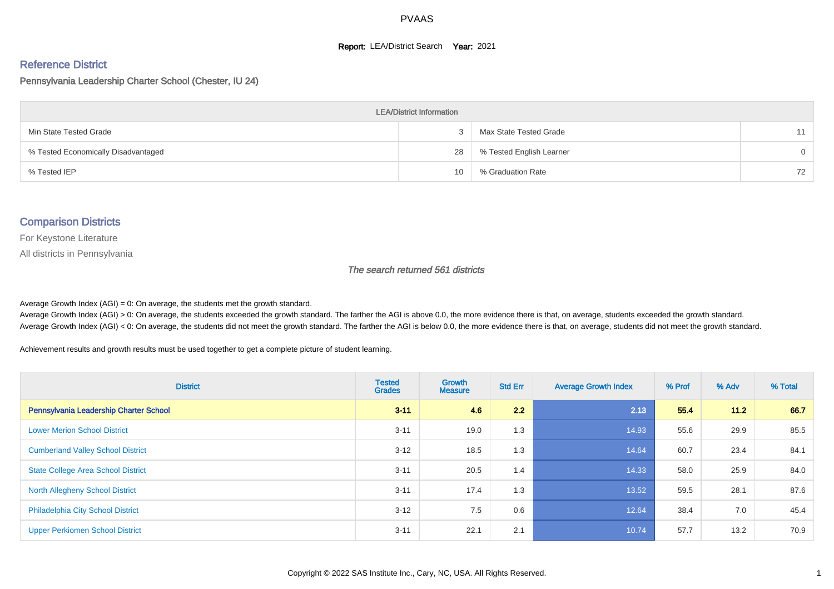#### **Report: LEA/District Search Year: 2021**

# Reference District

#### Pennsylvania Leadership Charter School (Chester, IU 24)

| <b>LEA/District Information</b>     |    |                          |          |  |  |  |  |  |  |  |
|-------------------------------------|----|--------------------------|----------|--|--|--|--|--|--|--|
| Min State Tested Grade              |    | Max State Tested Grade   | 11       |  |  |  |  |  |  |  |
| % Tested Economically Disadvantaged | 28 | % Tested English Learner | $\Omega$ |  |  |  |  |  |  |  |
| % Tested IEP                        | 10 | % Graduation Rate        | 72       |  |  |  |  |  |  |  |

#### Comparison Districts

For Keystone Literature

All districts in Pennsylvania

The search returned 561 districts

Average Growth Index  $(AGI) = 0$ : On average, the students met the growth standard.

Average Growth Index (AGI) > 0: On average, the students exceeded the growth standard. The farther the AGI is above 0.0, the more evidence there is that, on average, students exceeded the growth standard. Average Growth Index (AGI) < 0: On average, the students did not meet the growth standard. The farther the AGI is below 0.0, the more evidence there is that, on average, students did not meet the growth standard.

Achievement results and growth results must be used together to get a complete picture of student learning.

| <b>District</b>                           | <b>Tested</b><br><b>Grades</b> | <b>Growth</b><br><b>Measure</b> | <b>Std Err</b> | <b>Average Growth Index</b> | % Prof | % Adv  | % Total |
|-------------------------------------------|--------------------------------|---------------------------------|----------------|-----------------------------|--------|--------|---------|
| Pennsylvania Leadership Charter School    | $3 - 11$                       | 4.6                             | 2.2            | 2.13                        | 55.4   | $11.2$ | 66.7    |
| <b>Lower Merion School District</b>       | $3 - 11$                       | 19.0                            | 1.3            | 14.93                       | 55.6   | 29.9   | 85.5    |
| <b>Cumberland Valley School District</b>  | $3 - 12$                       | 18.5                            | 1.3            | 14.64                       | 60.7   | 23.4   | 84.1    |
| <b>State College Area School District</b> | $3 - 11$                       | 20.5                            | 1.4            | 14.33                       | 58.0   | 25.9   | 84.0    |
| <b>North Allegheny School District</b>    | $3 - 11$                       | 17.4                            | 1.3            | 13.52                       | 59.5   | 28.1   | 87.6    |
| <b>Philadelphia City School District</b>  | $3 - 12$                       | 7.5                             | 0.6            | 12.64                       | 38.4   | 7.0    | 45.4    |
| <b>Upper Perkiomen School District</b>    | $3 - 11$                       | 22.1                            | 2.1            | 10.74                       | 57.7   | 13.2   | 70.9    |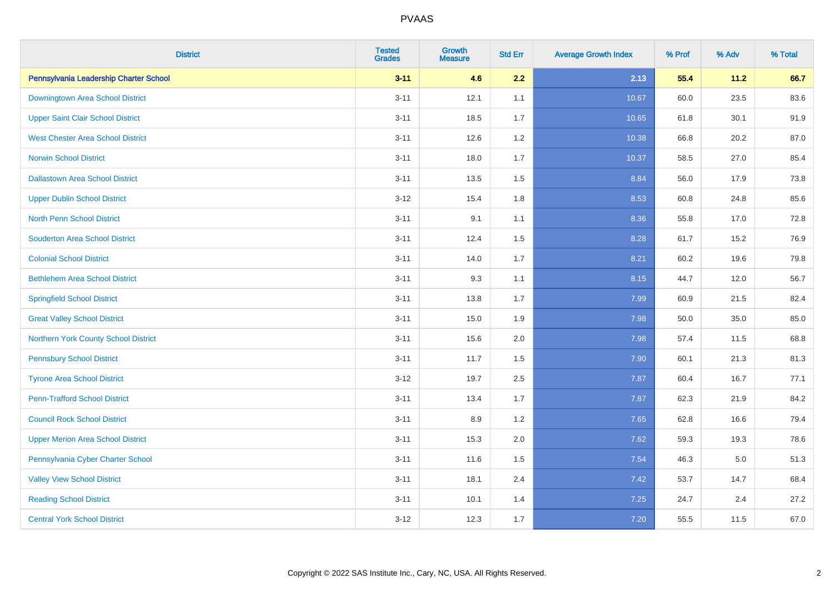| <b>District</b>                          | <b>Tested</b><br><b>Grades</b> | Growth<br><b>Measure</b> | <b>Std Err</b> | <b>Average Growth Index</b> | % Prof | % Adv   | % Total |
|------------------------------------------|--------------------------------|--------------------------|----------------|-----------------------------|--------|---------|---------|
| Pennsylvania Leadership Charter School   | $3 - 11$                       | 4.6                      | 2.2            | 2.13                        | 55.4   | 11.2    | 66.7    |
| Downingtown Area School District         | $3 - 11$                       | 12.1                     | 1.1            | 10.67                       | 60.0   | 23.5    | 83.6    |
| <b>Upper Saint Clair School District</b> | $3 - 11$                       | 18.5                     | 1.7            | 10.65                       | 61.8   | 30.1    | 91.9    |
| <b>West Chester Area School District</b> | $3 - 11$                       | 12.6                     | 1.2            | 10.38                       | 66.8   | 20.2    | 87.0    |
| <b>Norwin School District</b>            | $3 - 11$                       | 18.0                     | 1.7            | 10.37                       | 58.5   | 27.0    | 85.4    |
| <b>Dallastown Area School District</b>   | $3 - 11$                       | 13.5                     | 1.5            | 8.84                        | 56.0   | 17.9    | 73.8    |
| <b>Upper Dublin School District</b>      | $3 - 12$                       | 15.4                     | 1.8            | 8.53                        | 60.8   | 24.8    | 85.6    |
| <b>North Penn School District</b>        | $3 - 11$                       | 9.1                      | 1.1            | 8.36                        | 55.8   | 17.0    | 72.8    |
| <b>Souderton Area School District</b>    | $3 - 11$                       | 12.4                     | 1.5            | 8.28                        | 61.7   | 15.2    | 76.9    |
| <b>Colonial School District</b>          | $3 - 11$                       | 14.0                     | 1.7            | 8.21                        | 60.2   | 19.6    | 79.8    |
| <b>Bethlehem Area School District</b>    | $3 - 11$                       | 9.3                      | 1.1            | 8.15                        | 44.7   | 12.0    | 56.7    |
| <b>Springfield School District</b>       | $3 - 11$                       | 13.8                     | 1.7            | 7.99                        | 60.9   | 21.5    | 82.4    |
| <b>Great Valley School District</b>      | $3 - 11$                       | 15.0                     | 1.9            | 7.98                        | 50.0   | 35.0    | 85.0    |
| Northern York County School District     | $3 - 11$                       | 15.6                     | 2.0            | 7.98                        | 57.4   | 11.5    | 68.8    |
| <b>Pennsbury School District</b>         | $3 - 11$                       | 11.7                     | 1.5            | 7.90                        | 60.1   | 21.3    | 81.3    |
| <b>Tyrone Area School District</b>       | $3 - 12$                       | 19.7                     | 2.5            | 7.87                        | 60.4   | 16.7    | 77.1    |
| <b>Penn-Trafford School District</b>     | $3 - 11$                       | 13.4                     | 1.7            | 7.87                        | 62.3   | 21.9    | 84.2    |
| <b>Council Rock School District</b>      | $3 - 11$                       | 8.9                      | 1.2            | 7.65                        | 62.8   | 16.6    | 79.4    |
| <b>Upper Merion Area School District</b> | $3 - 11$                       | 15.3                     | 2.0            | 7.62                        | 59.3   | 19.3    | 78.6    |
| Pennsylvania Cyber Charter School        | $3 - 11$                       | 11.6                     | 1.5            | 7.54                        | 46.3   | $5.0\,$ | 51.3    |
| <b>Valley View School District</b>       | $3 - 11$                       | 18.1                     | 2.4            | 7.42                        | 53.7   | 14.7    | 68.4    |
| <b>Reading School District</b>           | $3 - 11$                       | 10.1                     | 1.4            | 7.25                        | 24.7   | 2.4     | 27.2    |
| <b>Central York School District</b>      | $3-12$                         | 12.3                     | 1.7            | $7.20$                      | 55.5   | 11.5    | 67.0    |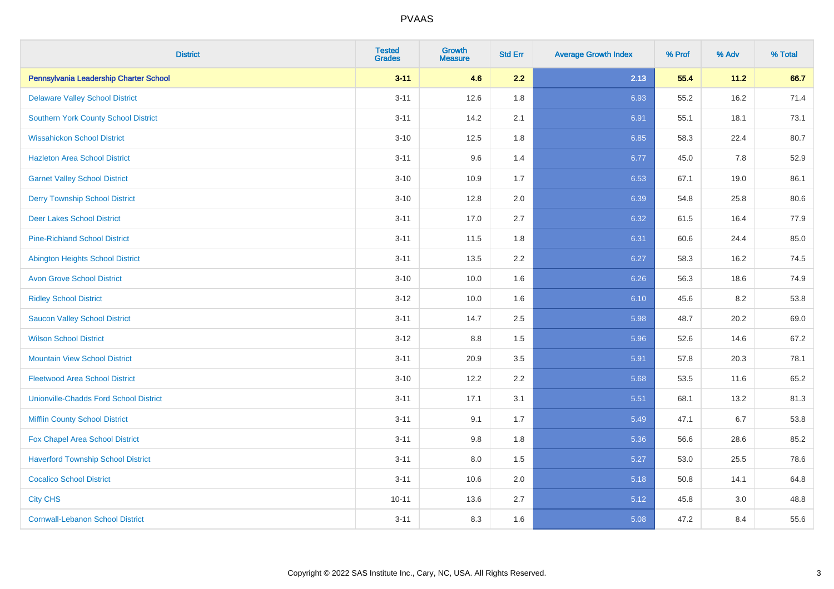| <b>District</b>                               | <b>Tested</b><br><b>Grades</b> | <b>Growth</b><br><b>Measure</b> | <b>Std Err</b> | <b>Average Growth Index</b> | % Prof | % Adv | % Total |
|-----------------------------------------------|--------------------------------|---------------------------------|----------------|-----------------------------|--------|-------|---------|
| Pennsylvania Leadership Charter School        | $3 - 11$                       | 4.6                             | 2.2            | 2.13                        | 55.4   | 11.2  | 66.7    |
| <b>Delaware Valley School District</b>        | $3 - 11$                       | 12.6                            | 1.8            | 6.93                        | 55.2   | 16.2  | 71.4    |
| <b>Southern York County School District</b>   | $3 - 11$                       | 14.2                            | 2.1            | 6.91                        | 55.1   | 18.1  | 73.1    |
| <b>Wissahickon School District</b>            | $3 - 10$                       | 12.5                            | 1.8            | 6.85                        | 58.3   | 22.4  | 80.7    |
| <b>Hazleton Area School District</b>          | $3 - 11$                       | 9.6                             | 1.4            | 6.77                        | 45.0   | 7.8   | 52.9    |
| <b>Garnet Valley School District</b>          | $3 - 10$                       | 10.9                            | 1.7            | 6.53                        | 67.1   | 19.0  | 86.1    |
| <b>Derry Township School District</b>         | $3 - 10$                       | 12.8                            | 2.0            | 6.39                        | 54.8   | 25.8  | 80.6    |
| <b>Deer Lakes School District</b>             | $3 - 11$                       | 17.0                            | 2.7            | 6.32                        | 61.5   | 16.4  | 77.9    |
| <b>Pine-Richland School District</b>          | $3 - 11$                       | 11.5                            | 1.8            | 6.31                        | 60.6   | 24.4  | 85.0    |
| <b>Abington Heights School District</b>       | $3 - 11$                       | 13.5                            | 2.2            | 6.27                        | 58.3   | 16.2  | 74.5    |
| <b>Avon Grove School District</b>             | $3 - 10$                       | 10.0                            | 1.6            | 6.26                        | 56.3   | 18.6  | 74.9    |
| <b>Ridley School District</b>                 | $3 - 12$                       | 10.0                            | 1.6            | 6.10                        | 45.6   | 8.2   | 53.8    |
| <b>Saucon Valley School District</b>          | $3 - 11$                       | 14.7                            | 2.5            | 5.98                        | 48.7   | 20.2  | 69.0    |
| <b>Wilson School District</b>                 | $3 - 12$                       | $8.8\,$                         | 1.5            | 5.96                        | 52.6   | 14.6  | 67.2    |
| <b>Mountain View School District</b>          | $3 - 11$                       | 20.9                            | 3.5            | 5.91                        | 57.8   | 20.3  | 78.1    |
| <b>Fleetwood Area School District</b>         | $3 - 10$                       | 12.2                            | 2.2            | 5.68                        | 53.5   | 11.6  | 65.2    |
| <b>Unionville-Chadds Ford School District</b> | $3 - 11$                       | 17.1                            | 3.1            | 5.51                        | 68.1   | 13.2  | 81.3    |
| <b>Mifflin County School District</b>         | $3 - 11$                       | 9.1                             | 1.7            | 5.49                        | 47.1   | 6.7   | 53.8    |
| Fox Chapel Area School District               | $3 - 11$                       | 9.8                             | 1.8            | 5.36                        | 56.6   | 28.6  | 85.2    |
| <b>Haverford Township School District</b>     | $3 - 11$                       | 8.0                             | 1.5            | 5.27                        | 53.0   | 25.5  | 78.6    |
| <b>Cocalico School District</b>               | $3 - 11$                       | 10.6                            | 2.0            | 5.18                        | 50.8   | 14.1  | 64.8    |
| <b>City CHS</b>                               | $10 - 11$                      | 13.6                            | 2.7            | 5.12                        | 45.8   | 3.0   | 48.8    |
| <b>Cornwall-Lebanon School District</b>       | $3 - 11$                       | 8.3                             | 1.6            | 5.08                        | 47.2   | 8.4   | 55.6    |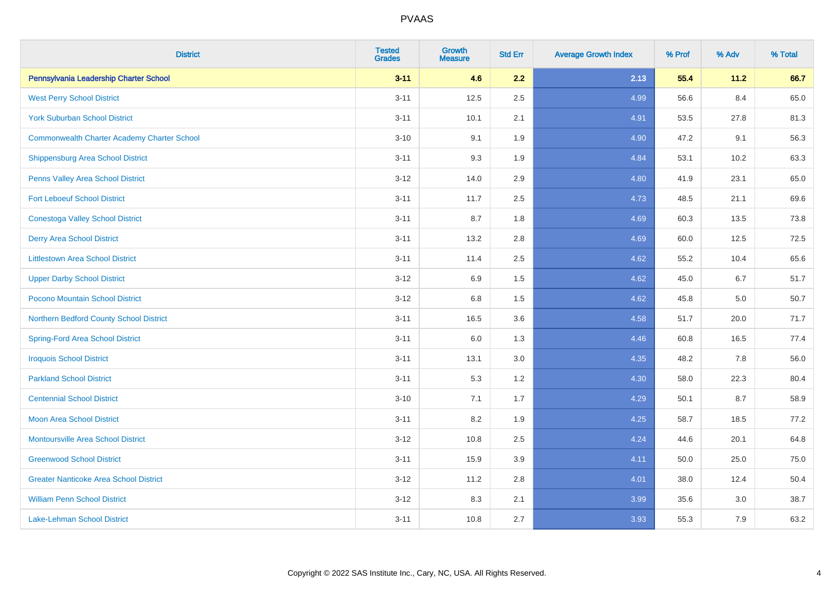| <b>District</b>                                    | <b>Tested</b><br><b>Grades</b> | <b>Growth</b><br><b>Measure</b> | <b>Std Err</b> | <b>Average Growth Index</b> | % Prof | % Adv | % Total |
|----------------------------------------------------|--------------------------------|---------------------------------|----------------|-----------------------------|--------|-------|---------|
| Pennsylvania Leadership Charter School             | $3 - 11$                       | 4.6                             | 2.2            | 2.13                        | 55.4   | 11.2  | 66.7    |
| <b>West Perry School District</b>                  | $3 - 11$                       | 12.5                            | 2.5            | 4.99                        | 56.6   | 8.4   | 65.0    |
| <b>York Suburban School District</b>               | $3 - 11$                       | 10.1                            | 2.1            | 4.91                        | 53.5   | 27.8  | 81.3    |
| <b>Commonwealth Charter Academy Charter School</b> | $3 - 10$                       | 9.1                             | 1.9            | 4.90                        | 47.2   | 9.1   | 56.3    |
| <b>Shippensburg Area School District</b>           | $3 - 11$                       | 9.3                             | 1.9            | 4.84                        | 53.1   | 10.2  | 63.3    |
| Penns Valley Area School District                  | $3 - 12$                       | 14.0                            | 2.9            | 4.80                        | 41.9   | 23.1  | 65.0    |
| <b>Fort Leboeuf School District</b>                | $3 - 11$                       | 11.7                            | 2.5            | 4.73                        | 48.5   | 21.1  | 69.6    |
| <b>Conestoga Valley School District</b>            | $3 - 11$                       | 8.7                             | 1.8            | 4.69                        | 60.3   | 13.5  | 73.8    |
| <b>Derry Area School District</b>                  | $3 - 11$                       | 13.2                            | 2.8            | 4.69                        | 60.0   | 12.5  | 72.5    |
| <b>Littlestown Area School District</b>            | $3 - 11$                       | 11.4                            | 2.5            | 4.62                        | 55.2   | 10.4  | 65.6    |
| <b>Upper Darby School District</b>                 | $3 - 12$                       | 6.9                             | 1.5            | 4.62                        | 45.0   | 6.7   | 51.7    |
| Pocono Mountain School District                    | $3 - 12$                       | 6.8                             | 1.5            | 4.62                        | 45.8   | 5.0   | 50.7    |
| Northern Bedford County School District            | $3 - 11$                       | 16.5                            | 3.6            | 4.58                        | 51.7   | 20.0  | 71.7    |
| <b>Spring-Ford Area School District</b>            | $3 - 11$                       | 6.0                             | 1.3            | 4.46                        | 60.8   | 16.5  | 77.4    |
| <b>Iroquois School District</b>                    | $3 - 11$                       | 13.1                            | 3.0            | 4.35                        | 48.2   | 7.8   | 56.0    |
| <b>Parkland School District</b>                    | $3 - 11$                       | 5.3                             | 1.2            | 4.30                        | 58.0   | 22.3  | 80.4    |
| <b>Centennial School District</b>                  | $3 - 10$                       | 7.1                             | 1.7            | 4.29                        | 50.1   | 8.7   | 58.9    |
| <b>Moon Area School District</b>                   | $3 - 11$                       | 8.2                             | 1.9            | 4.25                        | 58.7   | 18.5  | 77.2    |
| <b>Montoursville Area School District</b>          | $3 - 12$                       | 10.8                            | 2.5            | 4.24                        | 44.6   | 20.1  | 64.8    |
| <b>Greenwood School District</b>                   | $3 - 11$                       | 15.9                            | 3.9            | 4.11                        | 50.0   | 25.0  | 75.0    |
| <b>Greater Nanticoke Area School District</b>      | $3 - 12$                       | 11.2                            | 2.8            | 4.01                        | 38.0   | 12.4  | 50.4    |
| <b>William Penn School District</b>                | $3 - 12$                       | 8.3                             | 2.1            | 3.99                        | 35.6   | 3.0   | 38.7    |
| <b>Lake-Lehman School District</b>                 | $3 - 11$                       | 10.8                            | 2.7            | 3.93                        | 55.3   | 7.9   | 63.2    |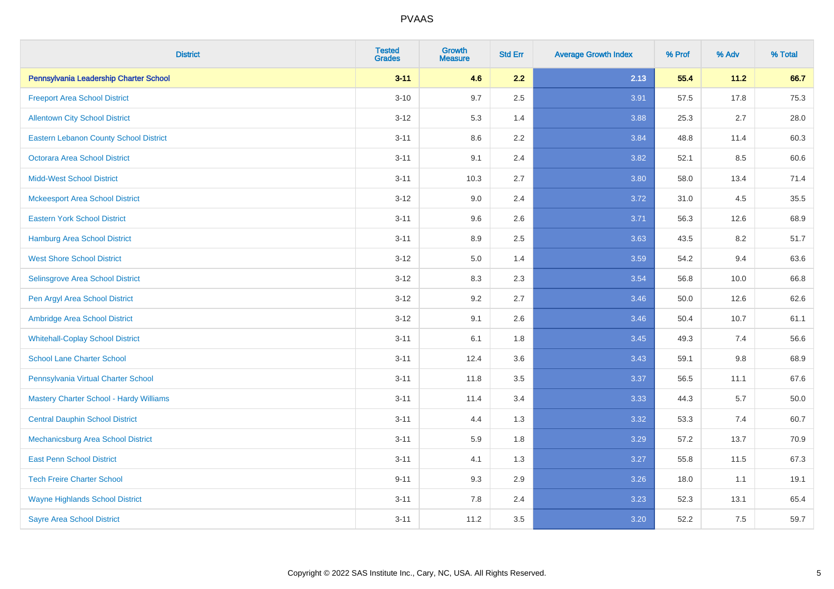| <b>District</b>                               | <b>Tested</b><br><b>Grades</b> | <b>Growth</b><br><b>Measure</b> | <b>Std Err</b> | <b>Average Growth Index</b> | % Prof | % Adv | % Total |
|-----------------------------------------------|--------------------------------|---------------------------------|----------------|-----------------------------|--------|-------|---------|
| Pennsylvania Leadership Charter School        | $3 - 11$                       | 4.6                             | 2.2            | 2.13                        | 55.4   | 11.2  | 66.7    |
| <b>Freeport Area School District</b>          | $3 - 10$                       | 9.7                             | 2.5            | 3.91                        | 57.5   | 17.8  | 75.3    |
| <b>Allentown City School District</b>         | $3 - 12$                       | 5.3                             | 1.4            | 3.88                        | 25.3   | 2.7   | 28.0    |
| <b>Eastern Lebanon County School District</b> | $3 - 11$                       | 8.6                             | 2.2            | 3.84                        | 48.8   | 11.4  | 60.3    |
| <b>Octorara Area School District</b>          | $3 - 11$                       | 9.1                             | 2.4            | 3.82                        | 52.1   | 8.5   | 60.6    |
| <b>Midd-West School District</b>              | $3 - 11$                       | 10.3                            | 2.7            | 3.80                        | 58.0   | 13.4  | 71.4    |
| <b>Mckeesport Area School District</b>        | $3-12$                         | 9.0                             | 2.4            | 3.72                        | 31.0   | 4.5   | 35.5    |
| <b>Eastern York School District</b>           | $3 - 11$                       | 9.6                             | 2.6            | 3.71                        | 56.3   | 12.6  | 68.9    |
| Hamburg Area School District                  | $3 - 11$                       | 8.9                             | 2.5            | 3.63                        | 43.5   | 8.2   | 51.7    |
| <b>West Shore School District</b>             | $3 - 12$                       | 5.0                             | 1.4            | 3.59                        | 54.2   | 9.4   | 63.6    |
| Selinsgrove Area School District              | $3 - 12$                       | 8.3                             | 2.3            | 3.54                        | 56.8   | 10.0  | 66.8    |
| Pen Argyl Area School District                | $3 - 12$                       | 9.2                             | 2.7            | 3.46                        | 50.0   | 12.6  | 62.6    |
| Ambridge Area School District                 | $3 - 12$                       | 9.1                             | 2.6            | 3.46                        | 50.4   | 10.7  | 61.1    |
| <b>Whitehall-Coplay School District</b>       | $3 - 11$                       | 6.1                             | 1.8            | 3.45                        | 49.3   | 7.4   | 56.6    |
| <b>School Lane Charter School</b>             | $3 - 11$                       | 12.4                            | 3.6            | 3.43                        | 59.1   | 9.8   | 68.9    |
| Pennsylvania Virtual Charter School           | $3 - 11$                       | 11.8                            | 3.5            | 3.37                        | 56.5   | 11.1  | 67.6    |
| Mastery Charter School - Hardy Williams       | $3 - 11$                       | 11.4                            | 3.4            | 3.33                        | 44.3   | 5.7   | 50.0    |
| <b>Central Dauphin School District</b>        | $3 - 11$                       | 4.4                             | 1.3            | 3.32                        | 53.3   | 7.4   | 60.7    |
| Mechanicsburg Area School District            | $3 - 11$                       | 5.9                             | 1.8            | 3.29                        | 57.2   | 13.7  | 70.9    |
| <b>East Penn School District</b>              | $3 - 11$                       | 4.1                             | 1.3            | 3.27                        | 55.8   | 11.5  | 67.3    |
| <b>Tech Freire Charter School</b>             | $9 - 11$                       | 9.3                             | 2.9            | 3.26                        | 18.0   | 1.1   | 19.1    |
| <b>Wayne Highlands School District</b>        | $3 - 11$                       | 7.8                             | 2.4            | 3.23                        | 52.3   | 13.1  | 65.4    |
| <b>Sayre Area School District</b>             | $3 - 11$                       | 11.2                            | 3.5            | 3.20                        | 52.2   | 7.5   | 59.7    |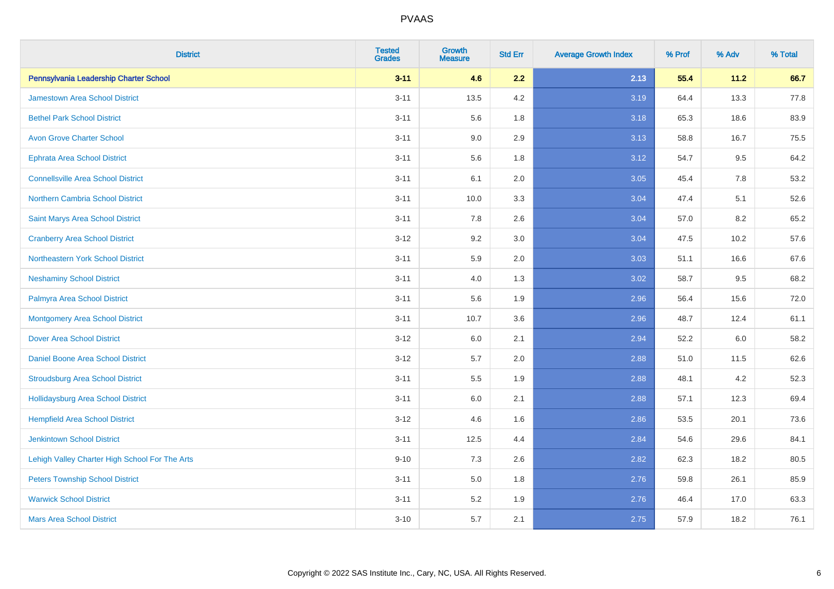| <b>District</b>                                | <b>Tested</b><br><b>Grades</b> | <b>Growth</b><br><b>Measure</b> | <b>Std Err</b> | <b>Average Growth Index</b> | % Prof | % Adv | % Total |
|------------------------------------------------|--------------------------------|---------------------------------|----------------|-----------------------------|--------|-------|---------|
| Pennsylvania Leadership Charter School         | $3 - 11$                       | 4.6                             | 2.2            | 2.13                        | 55.4   | 11.2  | 66.7    |
| <b>Jamestown Area School District</b>          | $3 - 11$                       | 13.5                            | 4.2            | 3.19                        | 64.4   | 13.3  | 77.8    |
| <b>Bethel Park School District</b>             | $3 - 11$                       | 5.6                             | 1.8            | 3.18                        | 65.3   | 18.6  | 83.9    |
| <b>Avon Grove Charter School</b>               | $3 - 11$                       | 9.0                             | 2.9            | 3.13                        | 58.8   | 16.7  | 75.5    |
| <b>Ephrata Area School District</b>            | $3 - 11$                       | 5.6                             | 1.8            | 3.12                        | 54.7   | 9.5   | 64.2    |
| <b>Connellsville Area School District</b>      | $3 - 11$                       | 6.1                             | 2.0            | 3.05                        | 45.4   | 7.8   | 53.2    |
| Northern Cambria School District               | $3 - 11$                       | 10.0                            | 3.3            | 3.04                        | 47.4   | 5.1   | 52.6    |
| Saint Marys Area School District               | $3 - 11$                       | 7.8                             | 2.6            | 3.04                        | 57.0   | 8.2   | 65.2    |
| <b>Cranberry Area School District</b>          | $3 - 12$                       | 9.2                             | 3.0            | 3.04                        | 47.5   | 10.2  | 57.6    |
| Northeastern York School District              | $3 - 11$                       | 5.9                             | 2.0            | 3.03                        | 51.1   | 16.6  | 67.6    |
| <b>Neshaminy School District</b>               | $3 - 11$                       | 4.0                             | 1.3            | 3.02                        | 58.7   | 9.5   | 68.2    |
| Palmyra Area School District                   | $3 - 11$                       | 5.6                             | 1.9            | 2.96                        | 56.4   | 15.6  | 72.0    |
| <b>Montgomery Area School District</b>         | $3 - 11$                       | 10.7                            | 3.6            | 2.96                        | 48.7   | 12.4  | 61.1    |
| <b>Dover Area School District</b>              | $3-12$                         | 6.0                             | 2.1            | 2.94                        | 52.2   | 6.0   | 58.2    |
| <b>Daniel Boone Area School District</b>       | $3 - 12$                       | 5.7                             | 2.0            | 2.88                        | 51.0   | 11.5  | 62.6    |
| <b>Stroudsburg Area School District</b>        | $3 - 11$                       | 5.5                             | 1.9            | 2.88                        | 48.1   | 4.2   | 52.3    |
| Hollidaysburg Area School District             | $3 - 11$                       | 6.0                             | 2.1            | 2.88                        | 57.1   | 12.3  | 69.4    |
| <b>Hempfield Area School District</b>          | $3 - 12$                       | 4.6                             | 1.6            | 2.86                        | 53.5   | 20.1  | 73.6    |
| <b>Jenkintown School District</b>              | $3 - 11$                       | 12.5                            | 4.4            | 2.84                        | 54.6   | 29.6  | 84.1    |
| Lehigh Valley Charter High School For The Arts | $9 - 10$                       | 7.3                             | 2.6            | 2.82                        | 62.3   | 18.2  | 80.5    |
| <b>Peters Township School District</b>         | $3 - 11$                       | 5.0                             | 1.8            | 2.76                        | 59.8   | 26.1  | 85.9    |
| <b>Warwick School District</b>                 | $3 - 11$                       | 5.2                             | 1.9            | 2.76                        | 46.4   | 17.0  | 63.3    |
| <b>Mars Area School District</b>               | $3 - 10$                       | 5.7                             | 2.1            | 2.75                        | 57.9   | 18.2  | 76.1    |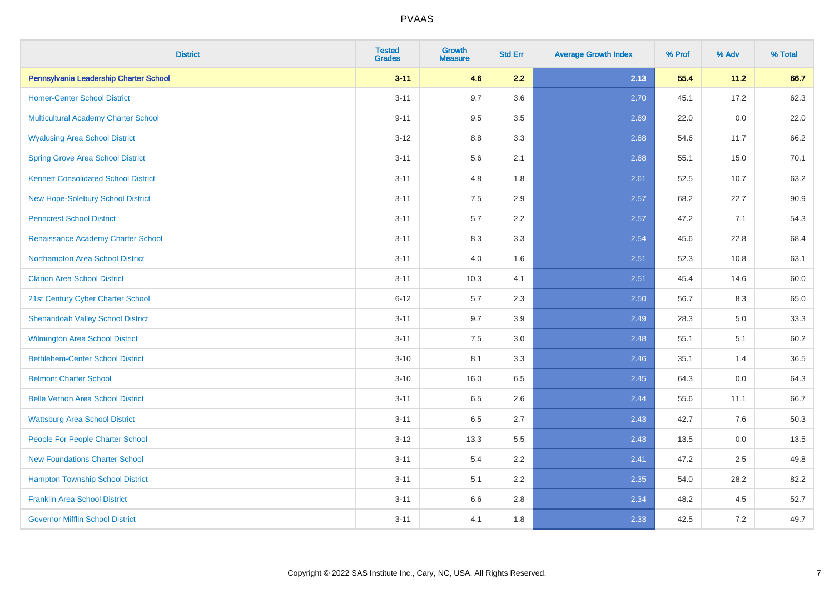| <b>District</b>                             | <b>Tested</b><br><b>Grades</b> | <b>Growth</b><br><b>Measure</b> | <b>Std Err</b> | <b>Average Growth Index</b> | % Prof | % Adv | % Total |
|---------------------------------------------|--------------------------------|---------------------------------|----------------|-----------------------------|--------|-------|---------|
| Pennsylvania Leadership Charter School      | $3 - 11$                       | 4.6                             | 2.2            | 2.13                        | 55.4   | 11.2  | 66.7    |
| <b>Homer-Center School District</b>         | $3 - 11$                       | 9.7                             | 3.6            | 2.70                        | 45.1   | 17.2  | 62.3    |
| Multicultural Academy Charter School        | $9 - 11$                       | 9.5                             | 3.5            | 2.69                        | 22.0   | 0.0   | 22.0    |
| <b>Wyalusing Area School District</b>       | $3-12$                         | 8.8                             | 3.3            | 2.68                        | 54.6   | 11.7  | 66.2    |
| <b>Spring Grove Area School District</b>    | $3 - 11$                       | 5.6                             | 2.1            | 2.68                        | 55.1   | 15.0  | 70.1    |
| <b>Kennett Consolidated School District</b> | $3 - 11$                       | 4.8                             | 1.8            | 2.61                        | 52.5   | 10.7  | 63.2    |
| New Hope-Solebury School District           | $3 - 11$                       | 7.5                             | 2.9            | 2.57                        | 68.2   | 22.7  | 90.9    |
| <b>Penncrest School District</b>            | $3 - 11$                       | 5.7                             | 2.2            | 2.57                        | 47.2   | 7.1   | 54.3    |
| Renaissance Academy Charter School          | $3 - 11$                       | 8.3                             | 3.3            | 2.54                        | 45.6   | 22.8  | 68.4    |
| Northampton Area School District            | $3 - 11$                       | 4.0                             | 1.6            | 2.51                        | 52.3   | 10.8  | 63.1    |
| <b>Clarion Area School District</b>         | $3 - 11$                       | 10.3                            | 4.1            | 2.51                        | 45.4   | 14.6  | 60.0    |
| 21st Century Cyber Charter School           | $6 - 12$                       | 5.7                             | 2.3            | 2.50                        | 56.7   | 8.3   | 65.0    |
| <b>Shenandoah Valley School District</b>    | $3 - 11$                       | 9.7                             | 3.9            | 2.49                        | 28.3   | 5.0   | 33.3    |
| <b>Wilmington Area School District</b>      | $3 - 11$                       | $7.5\,$                         | 3.0            | 2.48                        | 55.1   | 5.1   | 60.2    |
| <b>Bethlehem-Center School District</b>     | $3 - 10$                       | 8.1                             | 3.3            | 2.46                        | 35.1   | 1.4   | 36.5    |
| <b>Belmont Charter School</b>               | $3 - 10$                       | 16.0                            | 6.5            | 2.45                        | 64.3   | 0.0   | 64.3    |
| <b>Belle Vernon Area School District</b>    | $3 - 11$                       | 6.5                             | 2.6            | 2.44                        | 55.6   | 11.1  | 66.7    |
| <b>Wattsburg Area School District</b>       | $3 - 11$                       | 6.5                             | 2.7            | 2.43                        | 42.7   | 7.6   | 50.3    |
| People For People Charter School            | $3 - 12$                       | 13.3                            | 5.5            | 2.43                        | 13.5   | 0.0   | 13.5    |
| <b>New Foundations Charter School</b>       | $3 - 11$                       | 5.4                             | 2.2            | 2.41                        | 47.2   | 2.5   | 49.8    |
| <b>Hampton Township School District</b>     | $3 - 11$                       | 5.1                             | 2.2            | 2.35                        | 54.0   | 28.2  | 82.2    |
| <b>Franklin Area School District</b>        | $3 - 11$                       | 6.6                             | 2.8            | 2.34                        | 48.2   | 4.5   | 52.7    |
| <b>Governor Mifflin School District</b>     | $3 - 11$                       | 4.1                             | 1.8            | 2.33                        | 42.5   | 7.2   | 49.7    |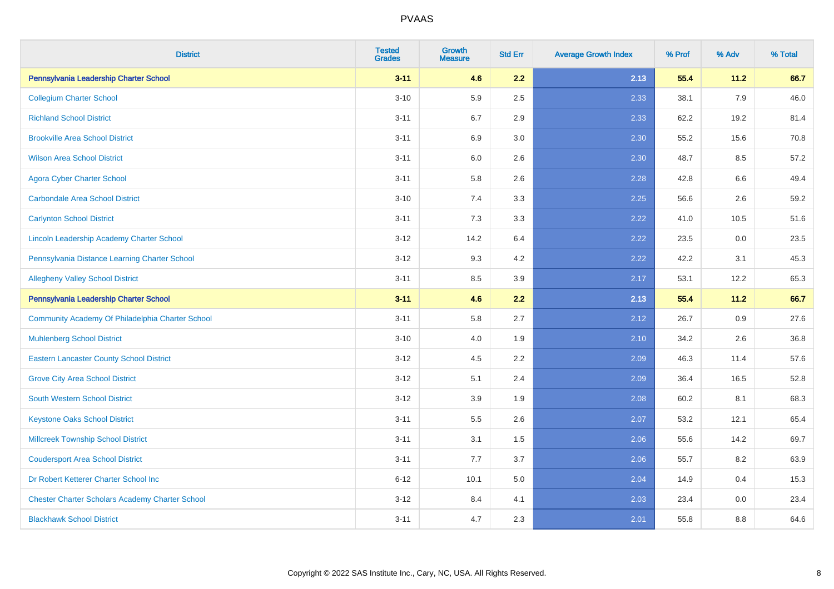| <b>District</b>                                        | <b>Tested</b><br><b>Grades</b> | <b>Growth</b><br><b>Measure</b> | <b>Std Err</b> | <b>Average Growth Index</b> | % Prof | % Adv   | % Total |
|--------------------------------------------------------|--------------------------------|---------------------------------|----------------|-----------------------------|--------|---------|---------|
| Pennsylvania Leadership Charter School                 | $3 - 11$                       | 4.6                             | 2.2            | 2.13                        | 55.4   | 11.2    | 66.7    |
| <b>Collegium Charter School</b>                        | $3 - 10$                       | 5.9                             | 2.5            | 2.33                        | 38.1   | 7.9     | 46.0    |
| <b>Richland School District</b>                        | $3 - 11$                       | 6.7                             | 2.9            | 2.33                        | 62.2   | 19.2    | 81.4    |
| <b>Brookville Area School District</b>                 | $3 - 11$                       | 6.9                             | 3.0            | 2.30                        | 55.2   | 15.6    | 70.8    |
| <b>Wilson Area School District</b>                     | $3 - 11$                       | 6.0                             | 2.6            | 2.30                        | 48.7   | 8.5     | 57.2    |
| <b>Agora Cyber Charter School</b>                      | $3 - 11$                       | 5.8                             | 2.6            | 2.28                        | 42.8   | $6.6\,$ | 49.4    |
| <b>Carbondale Area School District</b>                 | $3 - 10$                       | 7.4                             | 3.3            | 2.25                        | 56.6   | 2.6     | 59.2    |
| <b>Carlynton School District</b>                       | $3 - 11$                       | 7.3                             | 3.3            | 2.22                        | 41.0   | 10.5    | 51.6    |
| Lincoln Leadership Academy Charter School              | $3 - 12$                       | 14.2                            | 6.4            | 2.22                        | 23.5   | 0.0     | 23.5    |
| Pennsylvania Distance Learning Charter School          | $3 - 12$                       | 9.3                             | 4.2            | 2.22                        | 42.2   | 3.1     | 45.3    |
| <b>Allegheny Valley School District</b>                | $3 - 11$                       | 8.5                             | 3.9            | 2.17                        | 53.1   | 12.2    | 65.3    |
| Pennsylvania Leadership Charter School                 | $3 - 11$                       | 4.6                             | 2.2            | 2.13                        | 55.4   | 11.2    | 66.7    |
| Community Academy Of Philadelphia Charter School       | $3 - 11$                       | 5.8                             | 2.7            | 2.12                        | 26.7   | 0.9     | 27.6    |
| <b>Muhlenberg School District</b>                      | $3 - 10$                       | 4.0                             | 1.9            | 2.10                        | 34.2   | 2.6     | 36.8    |
| <b>Eastern Lancaster County School District</b>        | $3 - 12$                       | 4.5                             | 2.2            | 2.09                        | 46.3   | 11.4    | 57.6    |
| <b>Grove City Area School District</b>                 | $3 - 12$                       | 5.1                             | 2.4            | 2.09                        | 36.4   | 16.5    | 52.8    |
| <b>South Western School District</b>                   | $3 - 12$                       | 3.9                             | 1.9            | 2.08                        | 60.2   | 8.1     | 68.3    |
| <b>Keystone Oaks School District</b>                   | $3 - 11$                       | 5.5                             | 2.6            | 2.07                        | 53.2   | 12.1    | 65.4    |
| <b>Millcreek Township School District</b>              | $3 - 11$                       | 3.1                             | $1.5\,$        | 2.06                        | 55.6   | 14.2    | 69.7    |
| <b>Coudersport Area School District</b>                | $3 - 11$                       | 7.7                             | 3.7            | 2.06                        | 55.7   | 8.2     | 63.9    |
| Dr Robert Ketterer Charter School Inc                  | $6 - 12$                       | 10.1                            | 5.0            | 2.04                        | 14.9   | 0.4     | 15.3    |
| <b>Chester Charter Scholars Academy Charter School</b> | $3 - 12$                       | 8.4                             | 4.1            | 2.03                        | 23.4   | 0.0     | 23.4    |
| <b>Blackhawk School District</b>                       | $3 - 11$                       | 4.7                             | 2.3            | 2.01                        | 55.8   | 8.8     | 64.6    |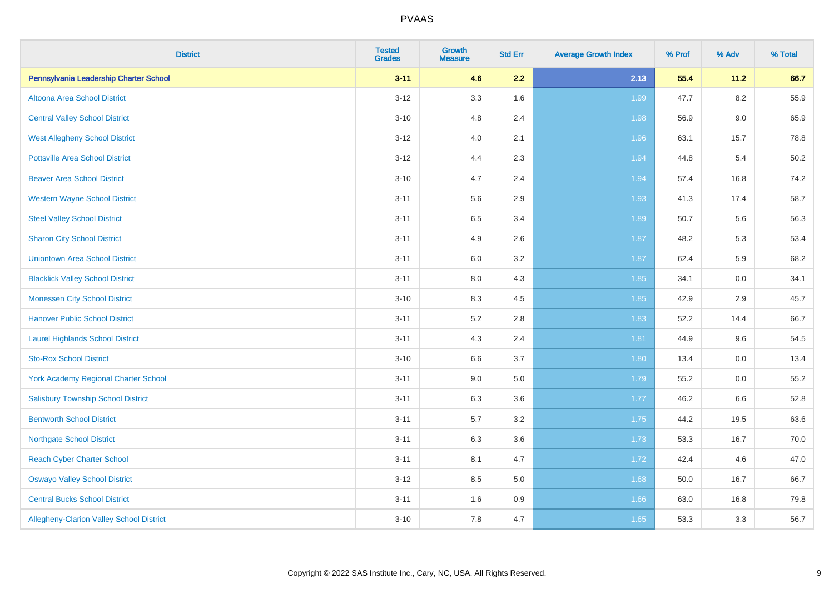| <b>District</b>                           | <b>Tested</b><br><b>Grades</b> | <b>Growth</b><br><b>Measure</b> | <b>Std Err</b> | <b>Average Growth Index</b> | % Prof | % Adv   | % Total |
|-------------------------------------------|--------------------------------|---------------------------------|----------------|-----------------------------|--------|---------|---------|
| Pennsylvania Leadership Charter School    | $3 - 11$                       | 4.6                             | 2.2            | 2.13                        | 55.4   | 11.2    | 66.7    |
| Altoona Area School District              | $3 - 12$                       | 3.3                             | 1.6            | 1.99                        | 47.7   | $8.2\,$ | 55.9    |
| <b>Central Valley School District</b>     | $3 - 10$                       | 4.8                             | 2.4            | 1.98                        | 56.9   | 9.0     | 65.9    |
| <b>West Allegheny School District</b>     | $3 - 12$                       | 4.0                             | 2.1            | 1.96                        | 63.1   | 15.7    | 78.8    |
| <b>Pottsville Area School District</b>    | $3 - 12$                       | 4.4                             | 2.3            | 1.94                        | 44.8   | 5.4     | 50.2    |
| <b>Beaver Area School District</b>        | $3 - 10$                       | 4.7                             | 2.4            | 1.94                        | 57.4   | 16.8    | 74.2    |
| <b>Western Wayne School District</b>      | $3 - 11$                       | 5.6                             | 2.9            | 1.93                        | 41.3   | 17.4    | 58.7    |
| <b>Steel Valley School District</b>       | $3 - 11$                       | 6.5                             | 3.4            | 1.89                        | 50.7   | 5.6     | 56.3    |
| <b>Sharon City School District</b>        | $3 - 11$                       | 4.9                             | 2.6            | 1.87                        | 48.2   | 5.3     | 53.4    |
| <b>Uniontown Area School District</b>     | $3 - 11$                       | 6.0                             | 3.2            | 1.87                        | 62.4   | 5.9     | 68.2    |
| <b>Blacklick Valley School District</b>   | $3 - 11$                       | $8.0\,$                         | 4.3            | 1.85                        | 34.1   | 0.0     | 34.1    |
| <b>Monessen City School District</b>      | $3 - 10$                       | 8.3                             | 4.5            | 1.85                        | 42.9   | 2.9     | 45.7    |
| <b>Hanover Public School District</b>     | $3 - 11$                       | 5.2                             | 2.8            | 1.83                        | 52.2   | 14.4    | 66.7    |
| <b>Laurel Highlands School District</b>   | $3 - 11$                       | 4.3                             | 2.4            | 1.81                        | 44.9   | 9.6     | 54.5    |
| <b>Sto-Rox School District</b>            | $3 - 10$                       | 6.6                             | 3.7            | 1.80                        | 13.4   | 0.0     | 13.4    |
| York Academy Regional Charter School      | $3 - 11$                       | 9.0                             | 5.0            | 1.79                        | 55.2   | $0.0\,$ | 55.2    |
| <b>Salisbury Township School District</b> | $3 - 11$                       | 6.3                             | 3.6            | 1.77                        | 46.2   | 6.6     | 52.8    |
| <b>Bentworth School District</b>          | $3 - 11$                       | 5.7                             | 3.2            | 1.75                        | 44.2   | 19.5    | 63.6    |
| <b>Northgate School District</b>          | $3 - 11$                       | 6.3                             | 3.6            | 1.73                        | 53.3   | 16.7    | 70.0    |
| <b>Reach Cyber Charter School</b>         | $3 - 11$                       | 8.1                             | 4.7            | 1.72                        | 42.4   | 4.6     | 47.0    |
| <b>Oswayo Valley School District</b>      | $3 - 12$                       | 8.5                             | 5.0            | 1.68                        | 50.0   | 16.7    | 66.7    |
| <b>Central Bucks School District</b>      | $3 - 11$                       | 1.6                             | 0.9            | 1.66                        | 63.0   | 16.8    | 79.8    |
| Allegheny-Clarion Valley School District  | $3 - 10$                       | 7.8                             | 4.7            | 1.65                        | 53.3   | 3.3     | 56.7    |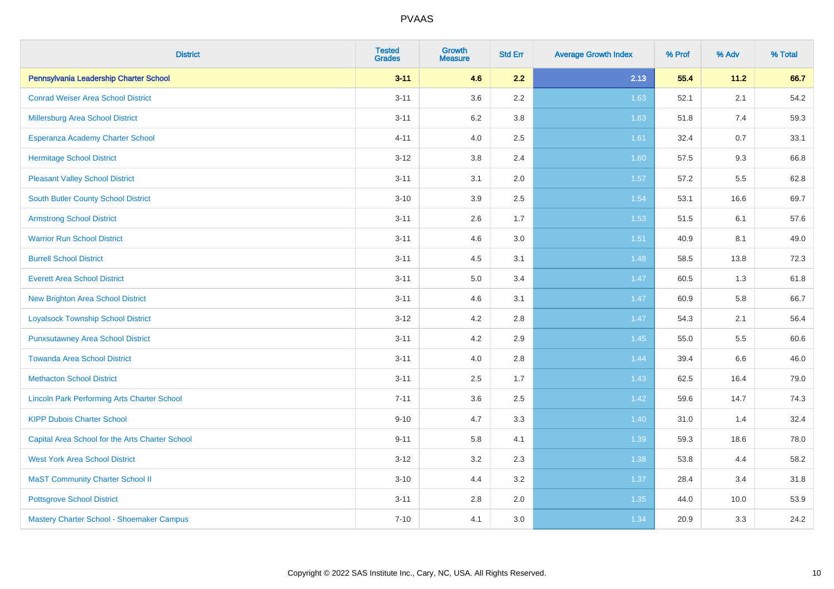| <b>District</b>                                    | <b>Tested</b><br><b>Grades</b> | <b>Growth</b><br><b>Measure</b> | <b>Std Err</b> | <b>Average Growth Index</b> | % Prof | % Adv   | % Total |
|----------------------------------------------------|--------------------------------|---------------------------------|----------------|-----------------------------|--------|---------|---------|
| Pennsylvania Leadership Charter School             | $3 - 11$                       | 4.6                             | 2.2            | 2.13                        | 55.4   | 11.2    | 66.7    |
| <b>Conrad Weiser Area School District</b>          | $3 - 11$                       | 3.6                             | 2.2            | 1.63                        | 52.1   | 2.1     | 54.2    |
| <b>Millersburg Area School District</b>            | $3 - 11$                       | 6.2                             | 3.8            | 1.63                        | 51.8   | 7.4     | 59.3    |
| Esperanza Academy Charter School                   | $4 - 11$                       | 4.0                             | 2.5            | 1.61                        | 32.4   | 0.7     | 33.1    |
| <b>Hermitage School District</b>                   | $3 - 12$                       | 3.8                             | 2.4            | 1.60                        | 57.5   | 9.3     | 66.8    |
| <b>Pleasant Valley School District</b>             | $3 - 11$                       | 3.1                             | 2.0            | 1.57                        | 57.2   | $5.5\,$ | 62.8    |
| South Butler County School District                | $3 - 10$                       | 3.9                             | 2.5            | 1.54                        | 53.1   | 16.6    | 69.7    |
| <b>Armstrong School District</b>                   | $3 - 11$                       | 2.6                             | 1.7            | 1.53                        | 51.5   | 6.1     | 57.6    |
| <b>Warrior Run School District</b>                 | $3 - 11$                       | 4.6                             | 3.0            | $1.51$                      | 40.9   | 8.1     | 49.0    |
| <b>Burrell School District</b>                     | $3 - 11$                       | 4.5                             | 3.1            | 1.48                        | 58.5   | 13.8    | 72.3    |
| <b>Everett Area School District</b>                | $3 - 11$                       | 5.0                             | 3.4            | 1.47                        | 60.5   | 1.3     | 61.8    |
| New Brighton Area School District                  | $3 - 11$                       | 4.6                             | 3.1            | 1.47                        | 60.9   | 5.8     | 66.7    |
| <b>Loyalsock Township School District</b>          | $3 - 12$                       | 4.2                             | 2.8            | 1.47                        | 54.3   | 2.1     | 56.4    |
| <b>Punxsutawney Area School District</b>           | $3 - 11$                       | 4.2                             | 2.9            | 1.45                        | 55.0   | 5.5     | 60.6    |
| <b>Towanda Area School District</b>                | $3 - 11$                       | 4.0                             | 2.8            | 1.44                        | 39.4   | $6.6\,$ | 46.0    |
| <b>Methacton School District</b>                   | $3 - 11$                       | 2.5                             | 1.7            | 1.43                        | 62.5   | 16.4    | 79.0    |
| <b>Lincoln Park Performing Arts Charter School</b> | $7 - 11$                       | 3.6                             | 2.5            | 1.42                        | 59.6   | 14.7    | 74.3    |
| <b>KIPP Dubois Charter School</b>                  | $9 - 10$                       | 4.7                             | 3.3            | 1.40                        | 31.0   | 1.4     | 32.4    |
| Capital Area School for the Arts Charter School    | $9 - 11$                       | 5.8                             | 4.1            | 1.39                        | 59.3   | 18.6    | 78.0    |
| <b>West York Area School District</b>              | $3 - 12$                       | 3.2                             | 2.3            | 1.38                        | 53.8   | 4.4     | 58.2    |
| <b>MaST Community Charter School II</b>            | $3 - 10$                       | 4.4                             | 3.2            | 1.37                        | 28.4   | 3.4     | 31.8    |
| <b>Pottsgrove School District</b>                  | $3 - 11$                       | 2.8                             | 2.0            | 1.35                        | 44.0   | 10.0    | 53.9    |
| Mastery Charter School - Shoemaker Campus          | $7 - 10$                       | 4.1                             | 3.0            | 1.34                        | 20.9   | 3.3     | 24.2    |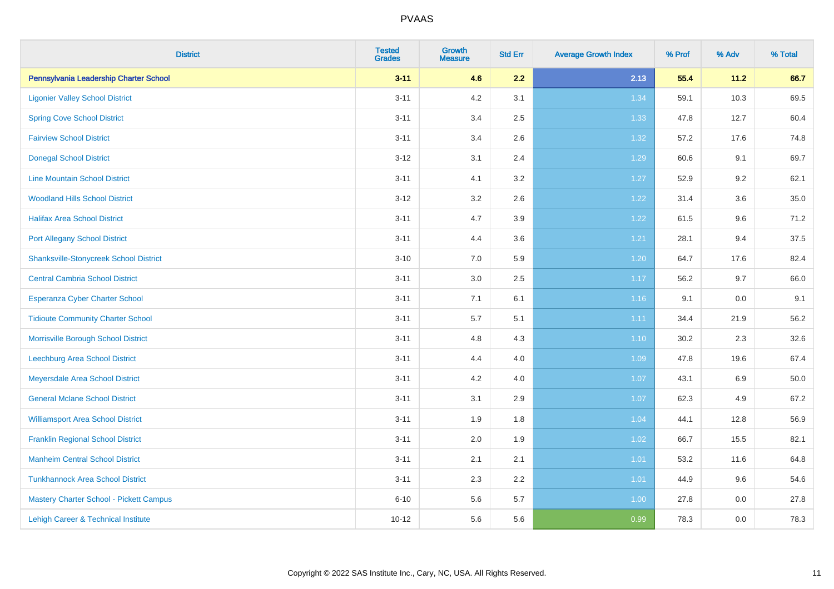| <b>District</b>                                | <b>Tested</b><br><b>Grades</b> | <b>Growth</b><br><b>Measure</b> | <b>Std Err</b> | <b>Average Growth Index</b> | % Prof | % Adv   | % Total |
|------------------------------------------------|--------------------------------|---------------------------------|----------------|-----------------------------|--------|---------|---------|
| Pennsylvania Leadership Charter School         | $3 - 11$                       | 4.6                             | 2.2            | 2.13                        | 55.4   | 11.2    | 66.7    |
| <b>Ligonier Valley School District</b>         | $3 - 11$                       | 4.2                             | 3.1            | 1.34                        | 59.1   | 10.3    | 69.5    |
| <b>Spring Cove School District</b>             | $3 - 11$                       | 3.4                             | 2.5            | 1.33                        | 47.8   | 12.7    | 60.4    |
| <b>Fairview School District</b>                | $3 - 11$                       | 3.4                             | 2.6            | 1.32                        | 57.2   | 17.6    | 74.8    |
| <b>Donegal School District</b>                 | $3 - 12$                       | 3.1                             | 2.4            | 1.29                        | 60.6   | 9.1     | 69.7    |
| <b>Line Mountain School District</b>           | $3 - 11$                       | 4.1                             | 3.2            | 1.27                        | 52.9   | 9.2     | 62.1    |
| <b>Woodland Hills School District</b>          | $3 - 12$                       | 3.2                             | 2.6            | 1.22                        | 31.4   | 3.6     | 35.0    |
| <b>Halifax Area School District</b>            | $3 - 11$                       | 4.7                             | 3.9            | 1.22                        | 61.5   | 9.6     | 71.2    |
| <b>Port Allegany School District</b>           | $3 - 11$                       | 4.4                             | 3.6            | 1.21                        | 28.1   | 9.4     | 37.5    |
| <b>Shanksville-Stonycreek School District</b>  | $3 - 10$                       | 7.0                             | 5.9            | 1.20                        | 64.7   | 17.6    | 82.4    |
| <b>Central Cambria School District</b>         | $3 - 11$                       | 3.0                             | 2.5            | 1.17                        | 56.2   | 9.7     | 66.0    |
| Esperanza Cyber Charter School                 | $3 - 11$                       | 7.1                             | 6.1            | 1.16                        | 9.1    | 0.0     | 9.1     |
| <b>Tidioute Community Charter School</b>       | $3 - 11$                       | 5.7                             | 5.1            | 1.11                        | 34.4   | 21.9    | 56.2    |
| Morrisville Borough School District            | $3 - 11$                       | 4.8                             | 4.3            | $1.10$                      | 30.2   | 2.3     | 32.6    |
| Leechburg Area School District                 | $3 - 11$                       | 4.4                             | 4.0            | 1.09                        | 47.8   | 19.6    | 67.4    |
| Meyersdale Area School District                | $3 - 11$                       | 4.2                             | 4.0            | 1.07                        | 43.1   | $6.9\,$ | 50.0    |
| <b>General Mclane School District</b>          | $3 - 11$                       | 3.1                             | 2.9            | 1.07                        | 62.3   | 4.9     | 67.2    |
| <b>Williamsport Area School District</b>       | $3 - 11$                       | 1.9                             | 1.8            | 1.04                        | 44.1   | 12.8    | 56.9    |
| <b>Franklin Regional School District</b>       | $3 - 11$                       | 2.0                             | 1.9            | 1.02                        | 66.7   | 15.5    | 82.1    |
| <b>Manheim Central School District</b>         | $3 - 11$                       | 2.1                             | 2.1            | $1.01$                      | 53.2   | 11.6    | 64.8    |
| <b>Tunkhannock Area School District</b>        | $3 - 11$                       | 2.3                             | 2.2            | 1.01                        | 44.9   | 9.6     | 54.6    |
| <b>Mastery Charter School - Pickett Campus</b> | $6 - 10$                       | 5.6                             | 5.7            | 1.00                        | 27.8   | 0.0     | 27.8    |
| Lehigh Career & Technical Institute            | $10 - 12$                      | 5.6                             | 5.6            | 0.99                        | 78.3   | 0.0     | 78.3    |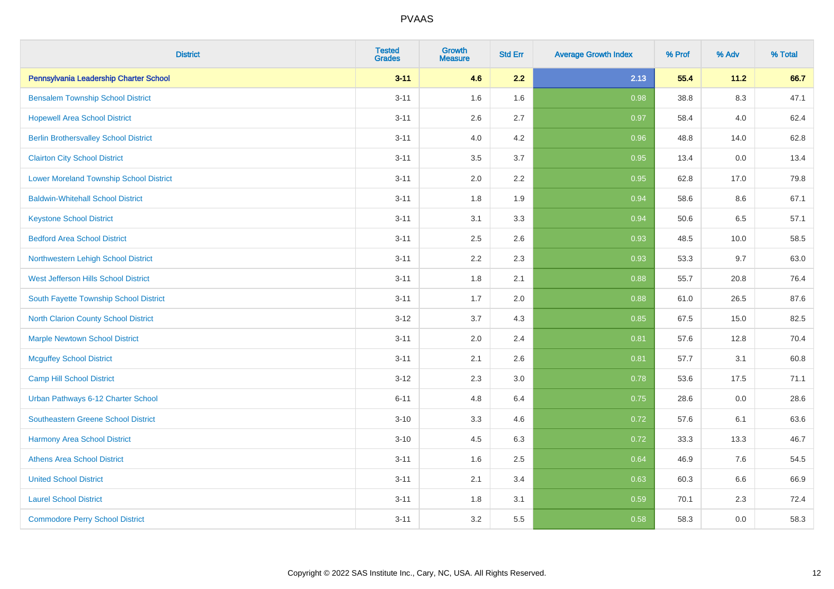| <b>District</b>                                | <b>Tested</b><br><b>Grades</b> | <b>Growth</b><br><b>Measure</b> | <b>Std Err</b> | <b>Average Growth Index</b> | % Prof | % Adv   | % Total |
|------------------------------------------------|--------------------------------|---------------------------------|----------------|-----------------------------|--------|---------|---------|
| Pennsylvania Leadership Charter School         | $3 - 11$                       | 4.6                             | 2.2            | 2.13                        | 55.4   | 11.2    | 66.7    |
| <b>Bensalem Township School District</b>       | $3 - 11$                       | 1.6                             | 1.6            | 0.98                        | 38.8   | $8.3\,$ | 47.1    |
| <b>Hopewell Area School District</b>           | $3 - 11$                       | 2.6                             | 2.7            | 0.97                        | 58.4   | 4.0     | 62.4    |
| <b>Berlin Brothersvalley School District</b>   | $3 - 11$                       | 4.0                             | 4.2            | 0.96                        | 48.8   | 14.0    | 62.8    |
| <b>Clairton City School District</b>           | $3 - 11$                       | 3.5                             | 3.7            | 0.95                        | 13.4   | 0.0     | 13.4    |
| <b>Lower Moreland Township School District</b> | $3 - 11$                       | 2.0                             | 2.2            | 0.95                        | 62.8   | 17.0    | 79.8    |
| <b>Baldwin-Whitehall School District</b>       | $3 - 11$                       | 1.8                             | 1.9            | 0.94                        | 58.6   | 8.6     | 67.1    |
| <b>Keystone School District</b>                | $3 - 11$                       | 3.1                             | 3.3            | 0.94                        | 50.6   | 6.5     | 57.1    |
| <b>Bedford Area School District</b>            | $3 - 11$                       | 2.5                             | 2.6            | 0.93                        | 48.5   | 10.0    | 58.5    |
| Northwestern Lehigh School District            | $3 - 11$                       | 2.2                             | 2.3            | 0.93                        | 53.3   | 9.7     | 63.0    |
| West Jefferson Hills School District           | $3 - 11$                       | 1.8                             | 2.1            | 0.88                        | 55.7   | 20.8    | 76.4    |
| South Fayette Township School District         | $3 - 11$                       | 1.7                             | 2.0            | 0.88                        | 61.0   | 26.5    | 87.6    |
| <b>North Clarion County School District</b>    | $3-12$                         | 3.7                             | 4.3            | 0.85                        | 67.5   | 15.0    | 82.5    |
| <b>Marple Newtown School District</b>          | $3 - 11$                       | 2.0                             | 2.4            | 0.81                        | 57.6   | 12.8    | 70.4    |
| <b>Mcguffey School District</b>                | $3 - 11$                       | 2.1                             | 2.6            | 0.81                        | 57.7   | 3.1     | 60.8    |
| Camp Hill School District                      | $3-12$                         | 2.3                             | 3.0            | 0.78                        | 53.6   | 17.5    | 71.1    |
| Urban Pathways 6-12 Charter School             | $6 - 11$                       | 4.8                             | 6.4            | 0.75                        | 28.6   | 0.0     | 28.6    |
| Southeastern Greene School District            | $3 - 10$                       | 3.3                             | 4.6            | 0.72                        | 57.6   | 6.1     | 63.6    |
| <b>Harmony Area School District</b>            | $3 - 10$                       | 4.5                             | 6.3            | 0.72                        | 33.3   | 13.3    | 46.7    |
| <b>Athens Area School District</b>             | $3 - 11$                       | 1.6                             | 2.5            | 0.64                        | 46.9   | 7.6     | 54.5    |
| <b>United School District</b>                  | $3 - 11$                       | 2.1                             | 3.4            | 0.63                        | 60.3   | 6.6     | 66.9    |
| <b>Laurel School District</b>                  | $3 - 11$                       | 1.8                             | 3.1            | 0.59                        | 70.1   | 2.3     | 72.4    |
| <b>Commodore Perry School District</b>         | $3 - 11$                       | 3.2                             | 5.5            | 0.58                        | 58.3   | 0.0     | 58.3    |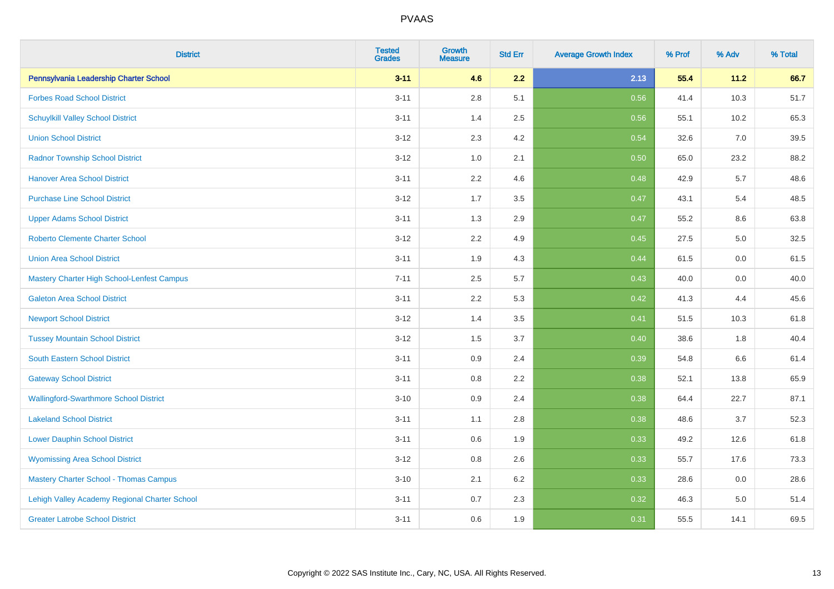| <b>District</b>                               | <b>Tested</b><br><b>Grades</b> | <b>Growth</b><br><b>Measure</b> | <b>Std Err</b> | <b>Average Growth Index</b> | % Prof | % Adv | % Total |
|-----------------------------------------------|--------------------------------|---------------------------------|----------------|-----------------------------|--------|-------|---------|
| Pennsylvania Leadership Charter School        | $3 - 11$                       | 4.6                             | 2.2            | 2.13                        | 55.4   | 11.2  | 66.7    |
| <b>Forbes Road School District</b>            | $3 - 11$                       | $2.8\,$                         | 5.1            | 0.56                        | 41.4   | 10.3  | 51.7    |
| <b>Schuylkill Valley School District</b>      | $3 - 11$                       | 1.4                             | 2.5            | 0.56                        | 55.1   | 10.2  | 65.3    |
| <b>Union School District</b>                  | $3 - 12$                       | 2.3                             | 4.2            | 0.54                        | 32.6   | 7.0   | 39.5    |
| <b>Radnor Township School District</b>        | $3 - 12$                       | 1.0                             | 2.1            | 0.50                        | 65.0   | 23.2  | 88.2    |
| <b>Hanover Area School District</b>           | $3 - 11$                       | 2.2                             | 4.6            | 0.48                        | 42.9   | 5.7   | 48.6    |
| <b>Purchase Line School District</b>          | $3 - 12$                       | 1.7                             | 3.5            | 0.47                        | 43.1   | 5.4   | 48.5    |
| <b>Upper Adams School District</b>            | $3 - 11$                       | 1.3                             | 2.9            | 0.47                        | 55.2   | 8.6   | 63.8    |
| Roberto Clemente Charter School               | $3 - 12$                       | 2.2                             | 4.9            | 0.45                        | 27.5   | 5.0   | 32.5    |
| <b>Union Area School District</b>             | $3 - 11$                       | 1.9                             | 4.3            | 0.44                        | 61.5   | 0.0   | 61.5    |
| Mastery Charter High School-Lenfest Campus    | $7 - 11$                       | 2.5                             | 5.7            | 0.43                        | 40.0   | 0.0   | 40.0    |
| <b>Galeton Area School District</b>           | $3 - 11$                       | 2.2                             | 5.3            | 0.42                        | 41.3   | 4.4   | 45.6    |
| <b>Newport School District</b>                | $3 - 12$                       | 1.4                             | 3.5            | 0.41                        | 51.5   | 10.3  | 61.8    |
| <b>Tussey Mountain School District</b>        | $3 - 12$                       | 1.5                             | 3.7            | 0.40                        | 38.6   | 1.8   | 40.4    |
| South Eastern School District                 | $3 - 11$                       | 0.9                             | 2.4            | 0.39                        | 54.8   | 6.6   | 61.4    |
| <b>Gateway School District</b>                | $3 - 11$                       | 0.8                             | 2.2            | 0.38                        | 52.1   | 13.8  | 65.9    |
| <b>Wallingford-Swarthmore School District</b> | $3 - 10$                       | 0.9                             | 2.4            | 0.38                        | 64.4   | 22.7  | 87.1    |
| <b>Lakeland School District</b>               | $3 - 11$                       | 1.1                             | 2.8            | 0.38                        | 48.6   | 3.7   | 52.3    |
| <b>Lower Dauphin School District</b>          | $3 - 11$                       | 0.6                             | 1.9            | 0.33                        | 49.2   | 12.6  | 61.8    |
| <b>Wyomissing Area School District</b>        | $3 - 12$                       | $0.8\,$                         | 2.6            | 0.33                        | 55.7   | 17.6  | 73.3    |
| <b>Mastery Charter School - Thomas Campus</b> | $3 - 10$                       | 2.1                             | 6.2            | 0.33                        | 28.6   | 0.0   | 28.6    |
| Lehigh Valley Academy Regional Charter School | $3 - 11$                       | 0.7                             | 2.3            | 0.32                        | 46.3   | 5.0   | 51.4    |
| <b>Greater Latrobe School District</b>        | $3 - 11$                       | 0.6                             | 1.9            | 0.31                        | 55.5   | 14.1  | 69.5    |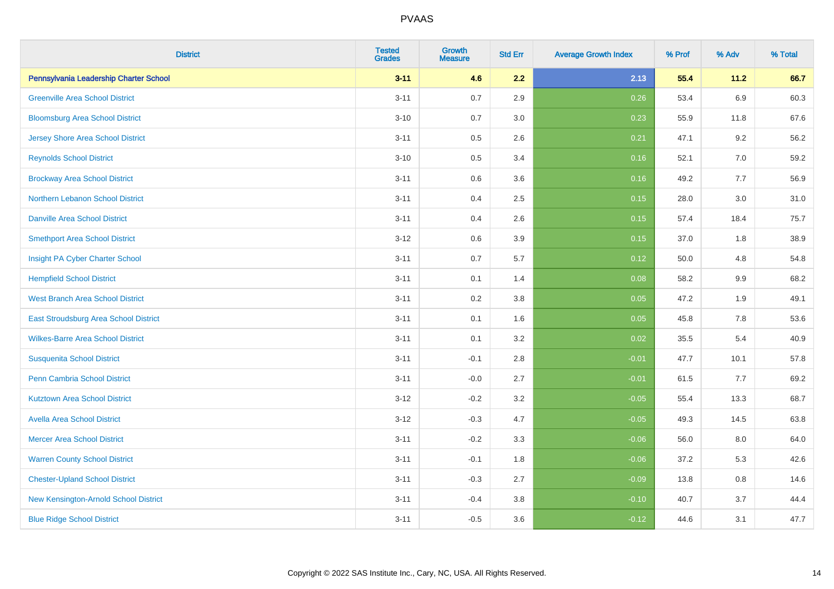| <b>District</b>                          | <b>Tested</b><br><b>Grades</b> | Growth<br><b>Measure</b> | <b>Std Err</b> | <b>Average Growth Index</b> | % Prof | % Adv   | % Total |
|------------------------------------------|--------------------------------|--------------------------|----------------|-----------------------------|--------|---------|---------|
| Pennsylvania Leadership Charter School   | $3 - 11$                       | 4.6                      | 2.2            | 2.13                        | 55.4   | 11.2    | 66.7    |
| <b>Greenville Area School District</b>   | $3 - 11$                       | 0.7                      | 2.9            | 0.26                        | 53.4   | 6.9     | 60.3    |
| <b>Bloomsburg Area School District</b>   | $3 - 10$                       | 0.7                      | 3.0            | 0.23                        | 55.9   | 11.8    | 67.6    |
| <b>Jersey Shore Area School District</b> | $3 - 11$                       | 0.5                      | 2.6            | 0.21                        | 47.1   | 9.2     | 56.2    |
| <b>Reynolds School District</b>          | $3 - 10$                       | 0.5                      | 3.4            | 0.16                        | 52.1   | 7.0     | 59.2    |
| <b>Brockway Area School District</b>     | $3 - 11$                       | 0.6                      | 3.6            | 0.16                        | 49.2   | 7.7     | 56.9    |
| Northern Lebanon School District         | $3 - 11$                       | 0.4                      | 2.5            | 0.15                        | 28.0   | 3.0     | 31.0    |
| <b>Danville Area School District</b>     | $3 - 11$                       | 0.4                      | 2.6            | 0.15                        | 57.4   | 18.4    | 75.7    |
| <b>Smethport Area School District</b>    | $3 - 12$                       | 0.6                      | 3.9            | 0.15                        | 37.0   | 1.8     | 38.9    |
| Insight PA Cyber Charter School          | $3 - 11$                       | 0.7                      | 5.7            | 0.12                        | 50.0   | 4.8     | 54.8    |
| <b>Hempfield School District</b>         | $3 - 11$                       | 0.1                      | 1.4            | 0.08                        | 58.2   | 9.9     | 68.2    |
| <b>West Branch Area School District</b>  | $3 - 11$                       | 0.2                      | 3.8            | 0.05                        | 47.2   | 1.9     | 49.1    |
| East Stroudsburg Area School District    | $3 - 11$                       | 0.1                      | 1.6            | 0.05                        | 45.8   | $7.8\,$ | 53.6    |
| <b>Wilkes-Barre Area School District</b> | $3 - 11$                       | 0.1                      | 3.2            | 0.02                        | 35.5   | 5.4     | 40.9    |
| <b>Susquenita School District</b>        | $3 - 11$                       | $-0.1$                   | 2.8            | $-0.01$                     | 47.7   | 10.1    | 57.8    |
| <b>Penn Cambria School District</b>      | $3 - 11$                       | $-0.0$                   | 2.7            | $-0.01$                     | 61.5   | 7.7     | 69.2    |
| <b>Kutztown Area School District</b>     | $3 - 12$                       | $-0.2$                   | 3.2            | $-0.05$                     | 55.4   | 13.3    | 68.7    |
| <b>Avella Area School District</b>       | $3 - 12$                       | $-0.3$                   | 4.7            | $-0.05$                     | 49.3   | 14.5    | 63.8    |
| <b>Mercer Area School District</b>       | $3 - 11$                       | $-0.2$                   | 3.3            | $-0.06$                     | 56.0   | 8.0     | 64.0    |
| <b>Warren County School District</b>     | $3 - 11$                       | $-0.1$                   | 1.8            | $-0.06$                     | 37.2   | 5.3     | 42.6    |
| <b>Chester-Upland School District</b>    | $3 - 11$                       | $-0.3$                   | 2.7            | $-0.09$                     | 13.8   | 0.8     | 14.6    |
| New Kensington-Arnold School District    | $3 - 11$                       | $-0.4$                   | 3.8            | $-0.10$                     | 40.7   | 3.7     | 44.4    |
| <b>Blue Ridge School District</b>        | $3 - 11$                       | $-0.5$                   | 3.6            | $-0.12$                     | 44.6   | 3.1     | 47.7    |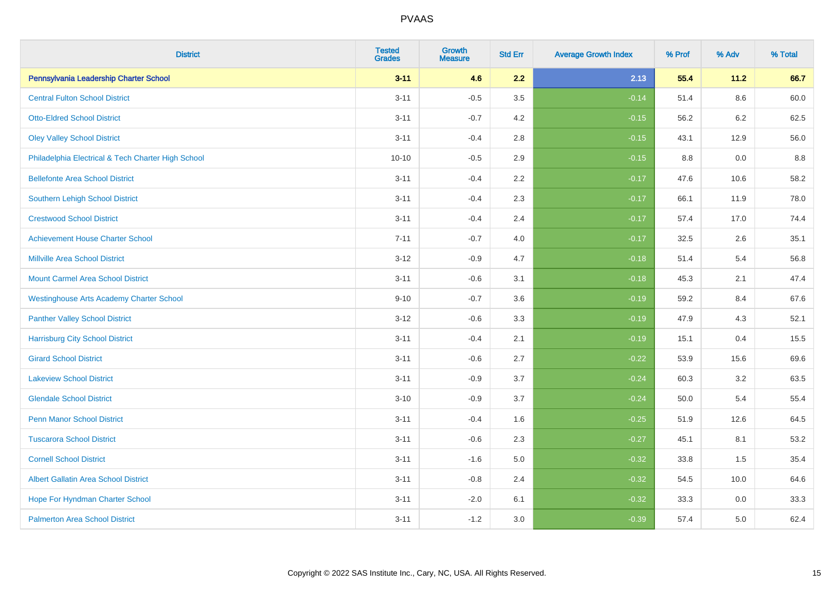| <b>District</b>                                    | <b>Tested</b><br><b>Grades</b> | <b>Growth</b><br><b>Measure</b> | <b>Std Err</b> | <b>Average Growth Index</b> | % Prof | % Adv   | % Total |
|----------------------------------------------------|--------------------------------|---------------------------------|----------------|-----------------------------|--------|---------|---------|
| Pennsylvania Leadership Charter School             | $3 - 11$                       | 4.6                             | 2.2            | 2.13                        | 55.4   | $11.2$  | 66.7    |
| <b>Central Fulton School District</b>              | $3 - 11$                       | $-0.5$                          | 3.5            | $-0.14$                     | 51.4   | $8.6\,$ | 60.0    |
| <b>Otto-Eldred School District</b>                 | $3 - 11$                       | $-0.7$                          | 4.2            | $-0.15$                     | 56.2   | 6.2     | 62.5    |
| <b>Oley Valley School District</b>                 | $3 - 11$                       | $-0.4$                          | 2.8            | $-0.15$                     | 43.1   | 12.9    | 56.0    |
| Philadelphia Electrical & Tech Charter High School | $10 - 10$                      | $-0.5$                          | 2.9            | $-0.15$                     | 8.8    | 0.0     | 8.8     |
| <b>Bellefonte Area School District</b>             | $3 - 11$                       | $-0.4$                          | 2.2            | $-0.17$                     | 47.6   | 10.6    | 58.2    |
| Southern Lehigh School District                    | $3 - 11$                       | $-0.4$                          | 2.3            | $-0.17$                     | 66.1   | 11.9    | 78.0    |
| <b>Crestwood School District</b>                   | $3 - 11$                       | $-0.4$                          | 2.4            | $-0.17$                     | 57.4   | 17.0    | 74.4    |
| <b>Achievement House Charter School</b>            | $7 - 11$                       | $-0.7$                          | 4.0            | $-0.17$                     | 32.5   | 2.6     | 35.1    |
| <b>Millville Area School District</b>              | $3 - 12$                       | $-0.9$                          | 4.7            | $-0.18$                     | 51.4   | 5.4     | 56.8    |
| <b>Mount Carmel Area School District</b>           | $3 - 11$                       | $-0.6$                          | 3.1            | $-0.18$                     | 45.3   | 2.1     | 47.4    |
| <b>Westinghouse Arts Academy Charter School</b>    | $9 - 10$                       | $-0.7$                          | 3.6            | $-0.19$                     | 59.2   | 8.4     | 67.6    |
| <b>Panther Valley School District</b>              | $3-12$                         | $-0.6$                          | 3.3            | $-0.19$                     | 47.9   | 4.3     | 52.1    |
| <b>Harrisburg City School District</b>             | $3 - 11$                       | $-0.4$                          | 2.1            | $-0.19$                     | 15.1   | 0.4     | 15.5    |
| <b>Girard School District</b>                      | $3 - 11$                       | $-0.6$                          | 2.7            | $-0.22$                     | 53.9   | 15.6    | 69.6    |
| <b>Lakeview School District</b>                    | $3 - 11$                       | $-0.9$                          | 3.7            | $-0.24$                     | 60.3   | 3.2     | 63.5    |
| <b>Glendale School District</b>                    | $3 - 10$                       | $-0.9$                          | 3.7            | $-0.24$                     | 50.0   | 5.4     | 55.4    |
| <b>Penn Manor School District</b>                  | $3 - 11$                       | $-0.4$                          | 1.6            | $-0.25$                     | 51.9   | 12.6    | 64.5    |
| <b>Tuscarora School District</b>                   | $3 - 11$                       | $-0.6$                          | 2.3            | $-0.27$                     | 45.1   | 8.1     | 53.2    |
| <b>Cornell School District</b>                     | $3 - 11$                       | $-1.6$                          | 5.0            | $-0.32$                     | 33.8   | 1.5     | 35.4    |
| <b>Albert Gallatin Area School District</b>        | $3 - 11$                       | $-0.8$                          | 2.4            | $-0.32$                     | 54.5   | 10.0    | 64.6    |
| Hope For Hyndman Charter School                    | $3 - 11$                       | $-2.0$                          | 6.1            | $-0.32$                     | 33.3   | 0.0     | 33.3    |
| <b>Palmerton Area School District</b>              | $3 - 11$                       | $-1.2$                          | 3.0            | $-0.39$                     | 57.4   | 5.0     | 62.4    |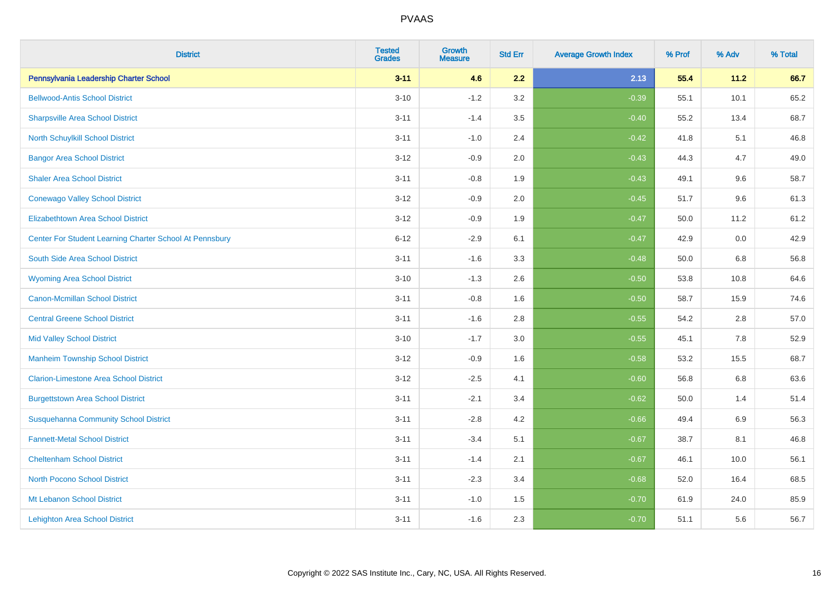| <b>District</b>                                         | <b>Tested</b><br><b>Grades</b> | Growth<br><b>Measure</b> | <b>Std Err</b> | <b>Average Growth Index</b> | % Prof | % Adv   | % Total |
|---------------------------------------------------------|--------------------------------|--------------------------|----------------|-----------------------------|--------|---------|---------|
| Pennsylvania Leadership Charter School                  | $3 - 11$                       | 4.6                      | 2.2            | 2.13                        | 55.4   | 11.2    | 66.7    |
| <b>Bellwood-Antis School District</b>                   | $3 - 10$                       | $-1.2$                   | 3.2            | $-0.39$                     | 55.1   | 10.1    | 65.2    |
| <b>Sharpsville Area School District</b>                 | $3 - 11$                       | $-1.4$                   | 3.5            | $-0.40$                     | 55.2   | 13.4    | 68.7    |
| North Schuylkill School District                        | $3 - 11$                       | $-1.0$                   | 2.4            | $-0.42$                     | 41.8   | 5.1     | 46.8    |
| <b>Bangor Area School District</b>                      | $3 - 12$                       | $-0.9$                   | 2.0            | $-0.43$                     | 44.3   | 4.7     | 49.0    |
| <b>Shaler Area School District</b>                      | $3 - 11$                       | $-0.8$                   | 1.9            | $-0.43$                     | 49.1   | 9.6     | 58.7    |
| <b>Conewago Valley School District</b>                  | $3 - 12$                       | $-0.9$                   | 2.0            | $-0.45$                     | 51.7   | 9.6     | 61.3    |
| <b>Elizabethtown Area School District</b>               | $3 - 12$                       | $-0.9$                   | 1.9            | $-0.47$                     | 50.0   | 11.2    | 61.2    |
| Center For Student Learning Charter School At Pennsbury | $6 - 12$                       | $-2.9$                   | 6.1            | $-0.47$                     | 42.9   | 0.0     | 42.9    |
| South Side Area School District                         | $3 - 11$                       | $-1.6$                   | 3.3            | $-0.48$                     | 50.0   | 6.8     | 56.8    |
| <b>Wyoming Area School District</b>                     | $3 - 10$                       | $-1.3$                   | 2.6            | $-0.50$                     | 53.8   | 10.8    | 64.6    |
| <b>Canon-Mcmillan School District</b>                   | $3 - 11$                       | $-0.8$                   | 1.6            | $-0.50$                     | 58.7   | 15.9    | 74.6    |
| <b>Central Greene School District</b>                   | $3 - 11$                       | $-1.6$                   | 2.8            | $-0.55$                     | 54.2   | $2.8\,$ | 57.0    |
| <b>Mid Valley School District</b>                       | $3 - 10$                       | $-1.7$                   | 3.0            | $-0.55$                     | 45.1   | 7.8     | 52.9    |
| <b>Manheim Township School District</b>                 | $3 - 12$                       | $-0.9$                   | 1.6            | $-0.58$                     | 53.2   | 15.5    | 68.7    |
| <b>Clarion-Limestone Area School District</b>           | $3 - 12$                       | $-2.5$                   | 4.1            | $-0.60$                     | 56.8   | $6.8\,$ | 63.6    |
| <b>Burgettstown Area School District</b>                | $3 - 11$                       | $-2.1$                   | 3.4            | $-0.62$                     | 50.0   | 1.4     | 51.4    |
| <b>Susquehanna Community School District</b>            | $3 - 11$                       | $-2.8$                   | 4.2            | $-0.66$                     | 49.4   | 6.9     | 56.3    |
| <b>Fannett-Metal School District</b>                    | $3 - 11$                       | $-3.4$                   | 5.1            | $-0.67$                     | 38.7   | 8.1     | 46.8    |
| <b>Cheltenham School District</b>                       | $3 - 11$                       | $-1.4$                   | 2.1            | $-0.67$                     | 46.1   | 10.0    | 56.1    |
| <b>North Pocono School District</b>                     | $3 - 11$                       | $-2.3$                   | 3.4            | $-0.68$                     | 52.0   | 16.4    | 68.5    |
| Mt Lebanon School District                              | $3 - 11$                       | $-1.0$                   | 1.5            | $-0.70$                     | 61.9   | 24.0    | 85.9    |
| <b>Lehighton Area School District</b>                   | $3 - 11$                       | $-1.6$                   | 2.3            | $-0.70$                     | 51.1   | 5.6     | 56.7    |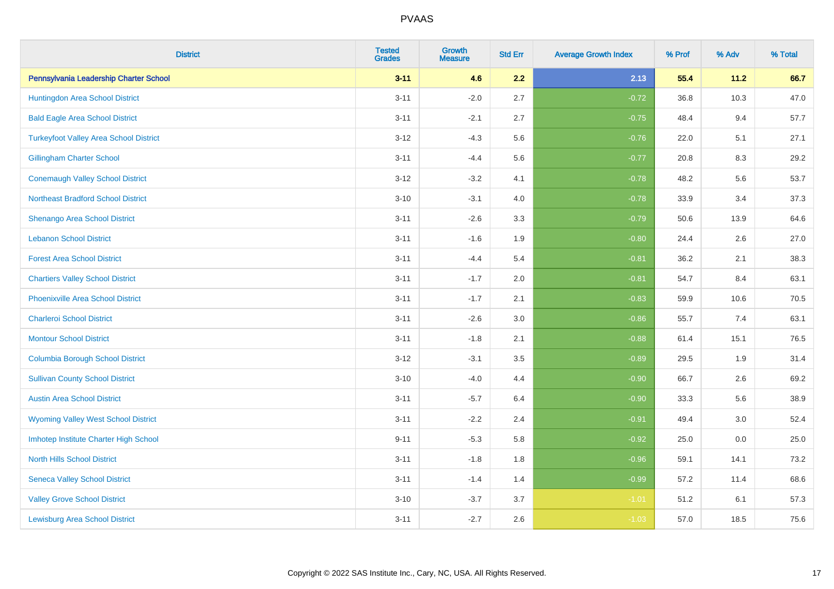| <b>District</b>                               | <b>Tested</b><br><b>Grades</b> | Growth<br><b>Measure</b> | <b>Std Err</b> | <b>Average Growth Index</b> | % Prof | % Adv   | % Total |
|-----------------------------------------------|--------------------------------|--------------------------|----------------|-----------------------------|--------|---------|---------|
| Pennsylvania Leadership Charter School        | $3 - 11$                       | 4.6                      | 2.2            | 2.13                        | 55.4   | 11.2    | 66.7    |
| Huntingdon Area School District               | $3 - 11$                       | $-2.0$                   | 2.7            | $-0.72$                     | 36.8   | 10.3    | 47.0    |
| <b>Bald Eagle Area School District</b>        | $3 - 11$                       | $-2.1$                   | 2.7            | $-0.75$                     | 48.4   | 9.4     | 57.7    |
| <b>Turkeyfoot Valley Area School District</b> | $3 - 12$                       | $-4.3$                   | 5.6            | $-0.76$                     | 22.0   | 5.1     | 27.1    |
| <b>Gillingham Charter School</b>              | $3 - 11$                       | $-4.4$                   | 5.6            | $-0.77$                     | 20.8   | 8.3     | 29.2    |
| <b>Conemaugh Valley School District</b>       | $3 - 12$                       | $-3.2$                   | 4.1            | $-0.78$                     | 48.2   | 5.6     | 53.7    |
| <b>Northeast Bradford School District</b>     | $3 - 10$                       | $-3.1$                   | 4.0            | $-0.78$                     | 33.9   | 3.4     | 37.3    |
| Shenango Area School District                 | $3 - 11$                       | $-2.6$                   | 3.3            | $-0.79$                     | 50.6   | 13.9    | 64.6    |
| <b>Lebanon School District</b>                | $3 - 11$                       | $-1.6$                   | 1.9            | $-0.80$                     | 24.4   | 2.6     | 27.0    |
| <b>Forest Area School District</b>            | $3 - 11$                       | $-4.4$                   | 5.4            | $-0.81$                     | 36.2   | 2.1     | 38.3    |
| <b>Chartiers Valley School District</b>       | $3 - 11$                       | $-1.7$                   | 2.0            | $-0.81$                     | 54.7   | 8.4     | 63.1    |
| <b>Phoenixville Area School District</b>      | $3 - 11$                       | $-1.7$                   | 2.1            | $-0.83$                     | 59.9   | 10.6    | 70.5    |
| <b>Charleroi School District</b>              | $3 - 11$                       | $-2.6$                   | $3.0\,$        | $-0.86$                     | 55.7   | 7.4     | 63.1    |
| <b>Montour School District</b>                | $3 - 11$                       | $-1.8$                   | 2.1            | $-0.88$                     | 61.4   | 15.1    | 76.5    |
| <b>Columbia Borough School District</b>       | $3 - 12$                       | $-3.1$                   | 3.5            | $-0.89$                     | 29.5   | 1.9     | 31.4    |
| <b>Sullivan County School District</b>        | $3 - 10$                       | $-4.0$                   | 4.4            | $-0.90$                     | 66.7   | $2.6\,$ | 69.2    |
| <b>Austin Area School District</b>            | $3 - 11$                       | $-5.7$                   | 6.4            | $-0.90$                     | 33.3   | 5.6     | 38.9    |
| <b>Wyoming Valley West School District</b>    | $3 - 11$                       | $-2.2$                   | 2.4            | $-0.91$                     | 49.4   | 3.0     | 52.4    |
| Imhotep Institute Charter High School         | $9 - 11$                       | $-5.3$                   | 5.8            | $-0.92$                     | 25.0   | 0.0     | 25.0    |
| <b>North Hills School District</b>            | $3 - 11$                       | $-1.8$                   | 1.8            | $-0.96$                     | 59.1   | 14.1    | 73.2    |
| <b>Seneca Valley School District</b>          | $3 - 11$                       | $-1.4$                   | 1.4            | $-0.99$                     | 57.2   | 11.4    | 68.6    |
| <b>Valley Grove School District</b>           | $3 - 10$                       | $-3.7$                   | 3.7            | $-1.01$                     | 51.2   | 6.1     | 57.3    |
| <b>Lewisburg Area School District</b>         | $3 - 11$                       | $-2.7$                   | 2.6            | $-1.03$                     | 57.0   | 18.5    | 75.6    |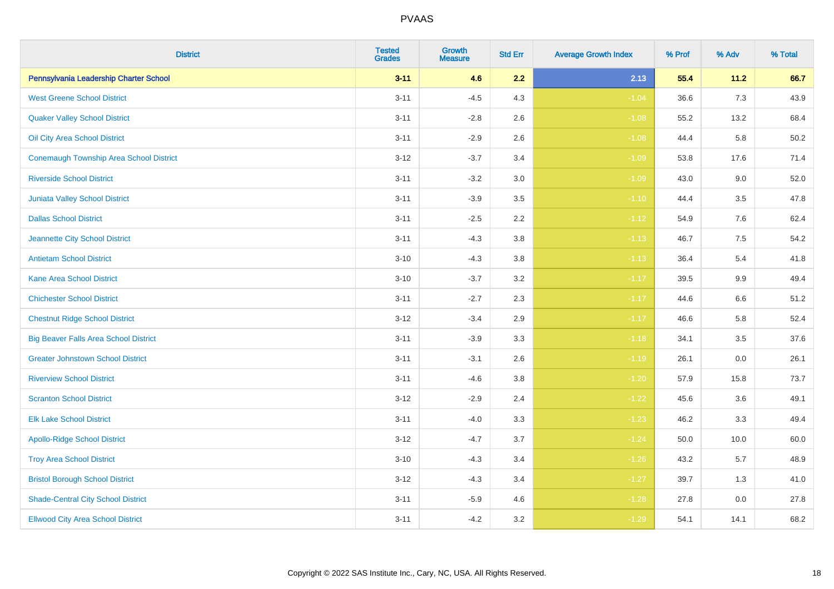| <b>District</b>                                | <b>Tested</b><br><b>Grades</b> | <b>Growth</b><br><b>Measure</b> | <b>Std Err</b> | <b>Average Growth Index</b> | % Prof | % Adv | % Total |
|------------------------------------------------|--------------------------------|---------------------------------|----------------|-----------------------------|--------|-------|---------|
| Pennsylvania Leadership Charter School         | $3 - 11$                       | 4.6                             | 2.2            | 2.13                        | 55.4   | 11.2  | 66.7    |
| <b>West Greene School District</b>             | $3 - 11$                       | $-4.5$                          | 4.3            | $-1.04$                     | 36.6   | 7.3   | 43.9    |
| <b>Quaker Valley School District</b>           | $3 - 11$                       | $-2.8$                          | 2.6            | $-1.08$                     | 55.2   | 13.2  | 68.4    |
| Oil City Area School District                  | $3 - 11$                       | $-2.9$                          | 2.6            | $-1.08$                     | 44.4   | 5.8   | 50.2    |
| <b>Conemaugh Township Area School District</b> | $3 - 12$                       | $-3.7$                          | 3.4            | $-1.09$                     | 53.8   | 17.6  | 71.4    |
| <b>Riverside School District</b>               | $3 - 11$                       | $-3.2$                          | 3.0            | $-1.09$                     | 43.0   | 9.0   | 52.0    |
| <b>Juniata Valley School District</b>          | $3 - 11$                       | $-3.9$                          | 3.5            | $-1.10$                     | 44.4   | 3.5   | 47.8    |
| <b>Dallas School District</b>                  | $3 - 11$                       | $-2.5$                          | 2.2            | $-1.12$                     | 54.9   | 7.6   | 62.4    |
| Jeannette City School District                 | $3 - 11$                       | $-4.3$                          | 3.8            | $-1.13$                     | 46.7   | 7.5   | 54.2    |
| <b>Antietam School District</b>                | $3 - 10$                       | $-4.3$                          | 3.8            | $-1.13$                     | 36.4   | 5.4   | 41.8    |
| <b>Kane Area School District</b>               | $3 - 10$                       | $-3.7$                          | 3.2            | $-1.17$                     | 39.5   | 9.9   | 49.4    |
| <b>Chichester School District</b>              | $3 - 11$                       | $-2.7$                          | 2.3            | $-1.17$                     | 44.6   | 6.6   | 51.2    |
| <b>Chestnut Ridge School District</b>          | $3 - 12$                       | $-3.4$                          | 2.9            | $-1.17$                     | 46.6   | 5.8   | 52.4    |
| <b>Big Beaver Falls Area School District</b>   | $3 - 11$                       | $-3.9$                          | 3.3            | $-1.18$                     | 34.1   | 3.5   | 37.6    |
| <b>Greater Johnstown School District</b>       | $3 - 11$                       | $-3.1$                          | 2.6            | $-1.19$                     | 26.1   | 0.0   | 26.1    |
| <b>Riverview School District</b>               | $3 - 11$                       | $-4.6$                          | 3.8            | $-1.20$                     | 57.9   | 15.8  | 73.7    |
| <b>Scranton School District</b>                | $3 - 12$                       | $-2.9$                          | 2.4            | $-1.22$                     | 45.6   | 3.6   | 49.1    |
| <b>Elk Lake School District</b>                | $3 - 11$                       | $-4.0$                          | 3.3            | $-1.23$                     | 46.2   | 3.3   | 49.4    |
| <b>Apollo-Ridge School District</b>            | $3 - 12$                       | $-4.7$                          | 3.7            | $-1.24$                     | 50.0   | 10.0  | 60.0    |
| <b>Troy Area School District</b>               | $3 - 10$                       | $-4.3$                          | 3.4            | $-1.26$                     | 43.2   | 5.7   | 48.9    |
| <b>Bristol Borough School District</b>         | $3 - 12$                       | $-4.3$                          | 3.4            | $-1.27$                     | 39.7   | 1.3   | 41.0    |
| <b>Shade-Central City School District</b>      | $3 - 11$                       | $-5.9$                          | 4.6            | $-1.28$                     | 27.8   | 0.0   | 27.8    |
| <b>Ellwood City Area School District</b>       | $3 - 11$                       | $-4.2$                          | 3.2            | $-1.29$                     | 54.1   | 14.1  | 68.2    |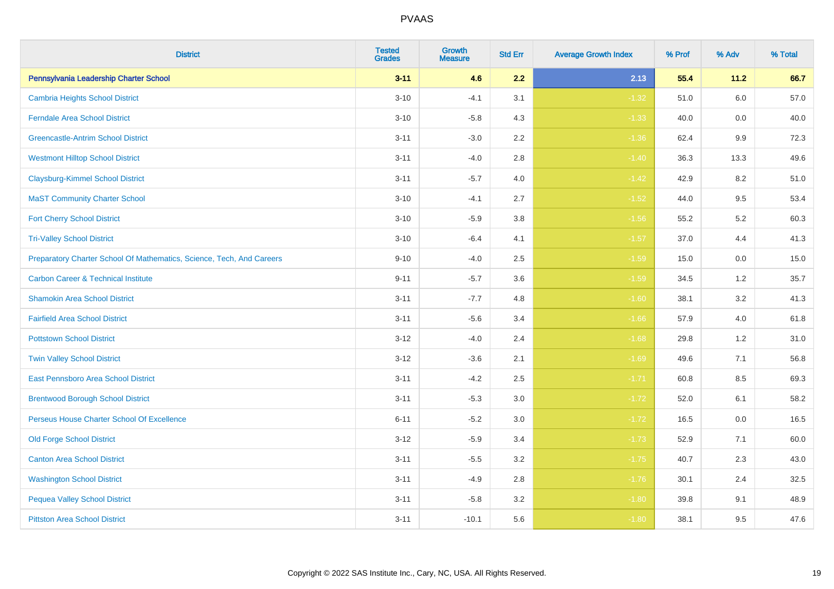| <b>District</b>                                                       | <b>Tested</b><br><b>Grades</b> | <b>Growth</b><br><b>Measure</b> | <b>Std Err</b> | <b>Average Growth Index</b> | % Prof | % Adv | % Total |
|-----------------------------------------------------------------------|--------------------------------|---------------------------------|----------------|-----------------------------|--------|-------|---------|
| Pennsylvania Leadership Charter School                                | $3 - 11$                       | 4.6                             | 2.2            | 2.13                        | 55.4   | 11.2  | 66.7    |
| <b>Cambria Heights School District</b>                                | $3 - 10$                       | $-4.1$                          | 3.1            | $-1.32$                     | 51.0   | 6.0   | 57.0    |
| <b>Ferndale Area School District</b>                                  | $3 - 10$                       | $-5.8$                          | 4.3            | $-1.33$                     | 40.0   | 0.0   | 40.0    |
| <b>Greencastle-Antrim School District</b>                             | $3 - 11$                       | $-3.0$                          | 2.2            | $-1.36$                     | 62.4   | 9.9   | 72.3    |
| <b>Westmont Hilltop School District</b>                               | $3 - 11$                       | $-4.0$                          | 2.8            | $-1.40$                     | 36.3   | 13.3  | 49.6    |
| <b>Claysburg-Kimmel School District</b>                               | $3 - 11$                       | $-5.7$                          | 4.0            | $-1.42$                     | 42.9   | 8.2   | 51.0    |
| <b>MaST Community Charter School</b>                                  | $3 - 10$                       | $-4.1$                          | 2.7            | $-1.52$                     | 44.0   | 9.5   | 53.4    |
| <b>Fort Cherry School District</b>                                    | $3 - 10$                       | $-5.9$                          | 3.8            | $-1.56$                     | 55.2   | 5.2   | 60.3    |
| <b>Tri-Valley School District</b>                                     | $3 - 10$                       | $-6.4$                          | 4.1            | $-1.57$                     | 37.0   | 4.4   | 41.3    |
| Preparatory Charter School Of Mathematics, Science, Tech, And Careers | $9 - 10$                       | $-4.0$                          | 2.5            | $-1.59$                     | 15.0   | 0.0   | 15.0    |
| <b>Carbon Career &amp; Technical Institute</b>                        | $9 - 11$                       | $-5.7$                          | 3.6            | $-1.59$                     | 34.5   | 1.2   | 35.7    |
| <b>Shamokin Area School District</b>                                  | $3 - 11$                       | $-7.7$                          | 4.8            | $-1.60$                     | 38.1   | 3.2   | 41.3    |
| <b>Fairfield Area School District</b>                                 | $3 - 11$                       | $-5.6$                          | 3.4            | $-1.66$                     | 57.9   | 4.0   | 61.8    |
| <b>Pottstown School District</b>                                      | $3 - 12$                       | $-4.0$                          | 2.4            | $-1.68$                     | 29.8   | 1.2   | 31.0    |
| <b>Twin Valley School District</b>                                    | $3 - 12$                       | $-3.6$                          | 2.1            | $-1.69$                     | 49.6   | 7.1   | 56.8    |
| East Pennsboro Area School District                                   | $3 - 11$                       | $-4.2$                          | 2.5            | $-1.71$                     | 60.8   | 8.5   | 69.3    |
| <b>Brentwood Borough School District</b>                              | $3 - 11$                       | $-5.3$                          | 3.0            | $-1.72$                     | 52.0   | 6.1   | 58.2    |
| Perseus House Charter School Of Excellence                            | $6 - 11$                       | $-5.2$                          | 3.0            | $-1.72$                     | 16.5   | 0.0   | 16.5    |
| <b>Old Forge School District</b>                                      | $3 - 12$                       | $-5.9$                          | 3.4            | $-1.73$                     | 52.9   | 7.1   | 60.0    |
| <b>Canton Area School District</b>                                    | $3 - 11$                       | $-5.5$                          | 3.2            | $-1.75$                     | 40.7   | 2.3   | 43.0    |
| <b>Washington School District</b>                                     | $3 - 11$                       | $-4.9$                          | 2.8            | $-1.76$                     | 30.1   | 2.4   | 32.5    |
| <b>Pequea Valley School District</b>                                  | $3 - 11$                       | $-5.8$                          | 3.2            | $-1.80$                     | 39.8   | 9.1   | 48.9    |
| <b>Pittston Area School District</b>                                  | $3 - 11$                       | $-10.1$                         | 5.6            | $-1.80$                     | 38.1   | 9.5   | 47.6    |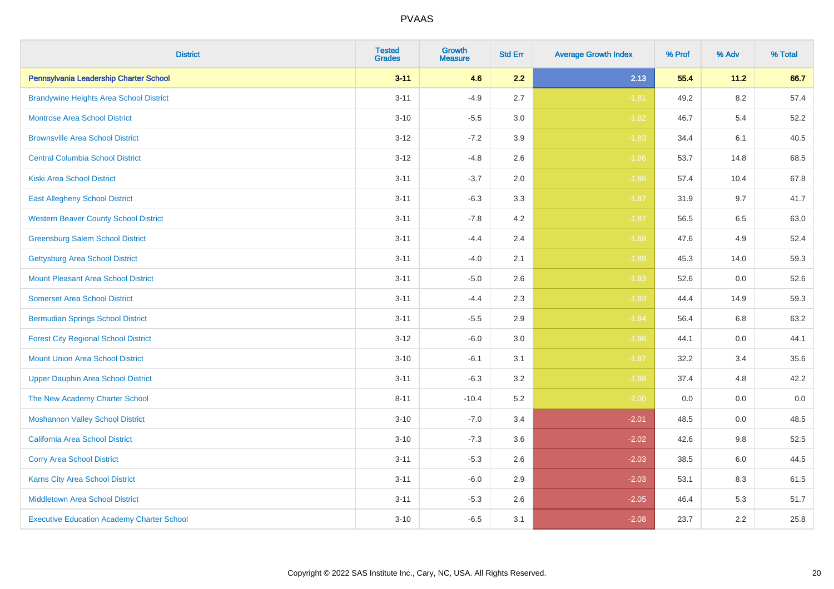| <b>District</b>                                   | <b>Tested</b><br><b>Grades</b> | <b>Growth</b><br><b>Measure</b> | <b>Std Err</b> | <b>Average Growth Index</b> | % Prof | % Adv   | % Total |
|---------------------------------------------------|--------------------------------|---------------------------------|----------------|-----------------------------|--------|---------|---------|
| Pennsylvania Leadership Charter School            | $3 - 11$                       | 4.6                             | 2.2            | 2.13                        | 55.4   | 11.2    | 66.7    |
| <b>Brandywine Heights Area School District</b>    | $3 - 11$                       | $-4.9$                          | 2.7            | $-1.81$                     | 49.2   | $8.2\,$ | 57.4    |
| <b>Montrose Area School District</b>              | $3 - 10$                       | $-5.5$                          | 3.0            | $-1.82$                     | 46.7   | 5.4     | 52.2    |
| <b>Brownsville Area School District</b>           | $3 - 12$                       | $-7.2$                          | 3.9            | $-1.83$                     | 34.4   | 6.1     | 40.5    |
| <b>Central Columbia School District</b>           | $3 - 12$                       | $-4.8$                          | 2.6            | $-1.86$                     | 53.7   | 14.8    | 68.5    |
| <b>Kiski Area School District</b>                 | $3 - 11$                       | $-3.7$                          | 2.0            | $-1.86$                     | 57.4   | 10.4    | 67.8    |
| <b>East Allegheny School District</b>             | $3 - 11$                       | $-6.3$                          | 3.3            | $-1.87$                     | 31.9   | 9.7     | 41.7    |
| <b>Western Beaver County School District</b>      | $3 - 11$                       | $-7.8$                          | 4.2            | $-1.87$                     | 56.5   | 6.5     | 63.0    |
| <b>Greensburg Salem School District</b>           | $3 - 11$                       | $-4.4$                          | 2.4            | $-1.88$                     | 47.6   | 4.9     | 52.4    |
| <b>Gettysburg Area School District</b>            | $3 - 11$                       | $-4.0$                          | 2.1            | $-1.89$                     | 45.3   | 14.0    | 59.3    |
| <b>Mount Pleasant Area School District</b>        | $3 - 11$                       | $-5.0$                          | 2.6            | $-1.93$                     | 52.6   | 0.0     | 52.6    |
| <b>Somerset Area School District</b>              | $3 - 11$                       | $-4.4$                          | 2.3            | $-1.93$                     | 44.4   | 14.9    | 59.3    |
| <b>Bermudian Springs School District</b>          | $3 - 11$                       | $-5.5$                          | 2.9            | $-1.94$                     | 56.4   | 6.8     | 63.2    |
| <b>Forest City Regional School District</b>       | $3 - 12$                       | $-6.0$                          | 3.0            | $-1.96$                     | 44.1   | 0.0     | 44.1    |
| <b>Mount Union Area School District</b>           | $3 - 10$                       | $-6.1$                          | 3.1            | $-1.97$                     | 32.2   | 3.4     | 35.6    |
| <b>Upper Dauphin Area School District</b>         | $3 - 11$                       | $-6.3$                          | 3.2            | $-1.98$                     | 37.4   | 4.8     | 42.2    |
| The New Academy Charter School                    | $8 - 11$                       | $-10.4$                         | 5.2            | $-2.00$                     | 0.0    | 0.0     | $0.0\,$ |
| <b>Moshannon Valley School District</b>           | $3 - 10$                       | $-7.0$                          | 3.4            | $-2.01$                     | 48.5   | 0.0     | 48.5    |
| <b>California Area School District</b>            | $3 - 10$                       | $-7.3$                          | 3.6            | $-2.02$                     | 42.6   | 9.8     | 52.5    |
| <b>Corry Area School District</b>                 | $3 - 11$                       | $-5.3$                          | 2.6            | $-2.03$                     | 38.5   | 6.0     | 44.5    |
| Karns City Area School District                   | $3 - 11$                       | $-6.0$                          | 2.9            | $-2.03$                     | 53.1   | 8.3     | 61.5    |
| <b>Middletown Area School District</b>            | $3 - 11$                       | $-5.3$                          | 2.6            | $-2.05$                     | 46.4   | 5.3     | 51.7    |
| <b>Executive Education Academy Charter School</b> | $3 - 10$                       | $-6.5$                          | 3.1            | $-2.08$                     | 23.7   | 2.2     | 25.8    |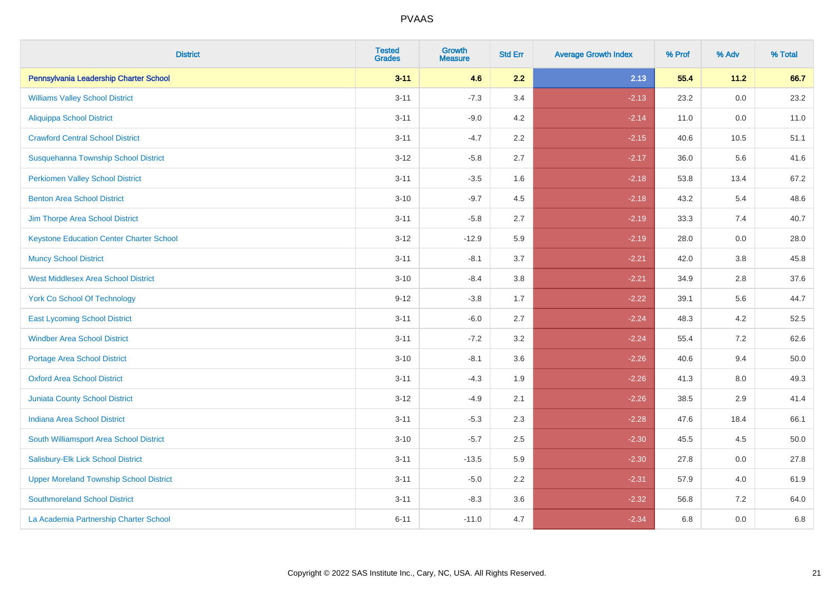| <b>District</b>                                 | <b>Tested</b><br><b>Grades</b> | <b>Growth</b><br><b>Measure</b> | <b>Std Err</b> | <b>Average Growth Index</b> | % Prof | % Adv   | % Total |
|-------------------------------------------------|--------------------------------|---------------------------------|----------------|-----------------------------|--------|---------|---------|
| Pennsylvania Leadership Charter School          | $3 - 11$                       | 4.6                             | 2.2            | 2.13                        | 55.4   | 11.2    | 66.7    |
| <b>Williams Valley School District</b>          | $3 - 11$                       | $-7.3$                          | 3.4            | $-2.13$                     | 23.2   | 0.0     | 23.2    |
| <b>Aliquippa School District</b>                | $3 - 11$                       | $-9.0$                          | 4.2            | $-2.14$                     | 11.0   | $0.0\,$ | 11.0    |
| <b>Crawford Central School District</b>         | $3 - 11$                       | $-4.7$                          | 2.2            | $-2.15$                     | 40.6   | 10.5    | 51.1    |
| Susquehanna Township School District            | $3 - 12$                       | $-5.8$                          | 2.7            | $-2.17$                     | 36.0   | 5.6     | 41.6    |
| <b>Perkiomen Valley School District</b>         | $3 - 11$                       | $-3.5$                          | 1.6            | $-2.18$                     | 53.8   | 13.4    | 67.2    |
| <b>Benton Area School District</b>              | $3 - 10$                       | $-9.7$                          | 4.5            | $-2.18$                     | 43.2   | 5.4     | 48.6    |
| Jim Thorpe Area School District                 | $3 - 11$                       | $-5.8$                          | 2.7            | $-2.19$                     | 33.3   | 7.4     | 40.7    |
| <b>Keystone Education Center Charter School</b> | $3 - 12$                       | $-12.9$                         | 5.9            | $-2.19$                     | 28.0   | 0.0     | 28.0    |
| <b>Muncy School District</b>                    | $3 - 11$                       | $-8.1$                          | 3.7            | $-2.21$                     | 42.0   | 3.8     | 45.8    |
| <b>West Middlesex Area School District</b>      | $3 - 10$                       | $-8.4$                          | 3.8            | $-2.21$                     | 34.9   | 2.8     | 37.6    |
| <b>York Co School Of Technology</b>             | $9 - 12$                       | $-3.8$                          | 1.7            | $-2.22$                     | 39.1   | 5.6     | 44.7    |
| <b>East Lycoming School District</b>            | $3 - 11$                       | $-6.0$                          | 2.7            | $-2.24$                     | 48.3   | 4.2     | 52.5    |
| <b>Windber Area School District</b>             | $3 - 11$                       | $-7.2$                          | 3.2            | $-2.24$                     | 55.4   | 7.2     | 62.6    |
| <b>Portage Area School District</b>             | $3 - 10$                       | $-8.1$                          | 3.6            | $-2.26$                     | 40.6   | 9.4     | 50.0    |
| <b>Oxford Area School District</b>              | $3 - 11$                       | $-4.3$                          | 1.9            | $-2.26$                     | 41.3   | $8.0\,$ | 49.3    |
| <b>Juniata County School District</b>           | $3 - 12$                       | $-4.9$                          | 2.1            | $-2.26$                     | 38.5   | 2.9     | 41.4    |
| <b>Indiana Area School District</b>             | $3 - 11$                       | $-5.3$                          | 2.3            | $-2.28$                     | 47.6   | 18.4    | 66.1    |
| South Williamsport Area School District         | $3 - 10$                       | $-5.7$                          | 2.5            | $-2.30$                     | 45.5   | 4.5     | 50.0    |
| Salisbury-Elk Lick School District              | $3 - 11$                       | $-13.5$                         | 5.9            | $-2.30$                     | 27.8   | 0.0     | 27.8    |
| <b>Upper Moreland Township School District</b>  | $3 - 11$                       | $-5.0$                          | 2.2            | $-2.31$                     | 57.9   | 4.0     | 61.9    |
| <b>Southmoreland School District</b>            | $3 - 11$                       | $-8.3$                          | 3.6            | $-2.32$                     | 56.8   | 7.2     | 64.0    |
| La Academia Partnership Charter School          | $6 - 11$                       | $-11.0$                         | 4.7            | $-2.34$                     | 6.8    | 0.0     | 6.8     |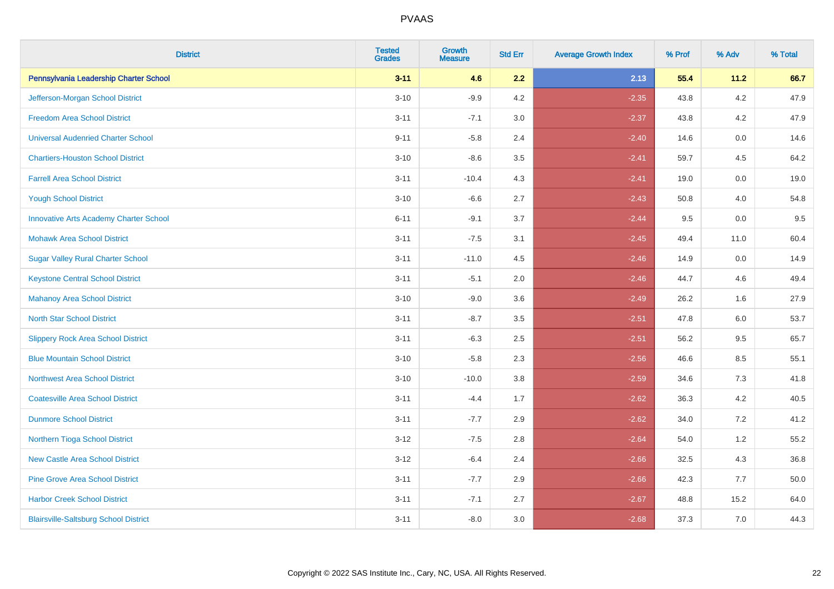| <b>District</b>                               | <b>Tested</b><br><b>Grades</b> | Growth<br><b>Measure</b> | <b>Std Err</b> | <b>Average Growth Index</b> | % Prof | % Adv   | % Total |
|-----------------------------------------------|--------------------------------|--------------------------|----------------|-----------------------------|--------|---------|---------|
| Pennsylvania Leadership Charter School        | $3 - 11$                       | 4.6                      | 2.2            | 2.13                        | 55.4   | 11.2    | 66.7    |
| Jefferson-Morgan School District              | $3 - 10$                       | $-9.9$                   | 4.2            | $-2.35$                     | 43.8   | 4.2     | 47.9    |
| <b>Freedom Area School District</b>           | $3 - 11$                       | $-7.1$                   | 3.0            | $-2.37$                     | 43.8   | 4.2     | 47.9    |
| <b>Universal Audenried Charter School</b>     | $9 - 11$                       | $-5.8$                   | 2.4            | $-2.40$                     | 14.6   | 0.0     | 14.6    |
| <b>Chartiers-Houston School District</b>      | $3 - 10$                       | $-8.6$                   | 3.5            | $-2.41$                     | 59.7   | 4.5     | 64.2    |
| <b>Farrell Area School District</b>           | $3 - 11$                       | $-10.4$                  | 4.3            | $-2.41$                     | 19.0   | $0.0\,$ | 19.0    |
| <b>Yough School District</b>                  | $3 - 10$                       | $-6.6$                   | 2.7            | $-2.43$                     | 50.8   | 4.0     | 54.8    |
| <b>Innovative Arts Academy Charter School</b> | $6 - 11$                       | $-9.1$                   | 3.7            | $-2.44$                     | 9.5    | 0.0     | 9.5     |
| <b>Mohawk Area School District</b>            | $3 - 11$                       | $-7.5$                   | 3.1            | $-2.45$                     | 49.4   | 11.0    | 60.4    |
| <b>Sugar Valley Rural Charter School</b>      | $3 - 11$                       | $-11.0$                  | 4.5            | $-2.46$                     | 14.9   | 0.0     | 14.9    |
| <b>Keystone Central School District</b>       | $3 - 11$                       | $-5.1$                   | 2.0            | $-2.46$                     | 44.7   | 4.6     | 49.4    |
| <b>Mahanoy Area School District</b>           | $3 - 10$                       | $-9.0$                   | 3.6            | $-2.49$                     | 26.2   | 1.6     | 27.9    |
| <b>North Star School District</b>             | $3 - 11$                       | $-8.7$                   | 3.5            | $-2.51$                     | 47.8   | 6.0     | 53.7    |
| <b>Slippery Rock Area School District</b>     | $3 - 11$                       | $-6.3$                   | 2.5            | $-2.51$                     | 56.2   | 9.5     | 65.7    |
| <b>Blue Mountain School District</b>          | $3 - 10$                       | $-5.8$                   | 2.3            | $-2.56$                     | 46.6   | 8.5     | 55.1    |
| <b>Northwest Area School District</b>         | $3 - 10$                       | $-10.0$                  | 3.8            | $-2.59$                     | 34.6   | 7.3     | 41.8    |
| <b>Coatesville Area School District</b>       | $3 - 11$                       | $-4.4$                   | 1.7            | $-2.62$                     | 36.3   | 4.2     | 40.5    |
| <b>Dunmore School District</b>                | $3 - 11$                       | $-7.7$                   | 2.9            | $-2.62$                     | 34.0   | 7.2     | 41.2    |
| Northern Tioga School District                | $3 - 12$                       | $-7.5$                   | 2.8            | $-2.64$                     | 54.0   | 1.2     | 55.2    |
| <b>New Castle Area School District</b>        | $3 - 12$                       | $-6.4$                   | 2.4            | $-2.66$                     | 32.5   | 4.3     | 36.8    |
| <b>Pine Grove Area School District</b>        | $3 - 11$                       | $-7.7$                   | 2.9            | $-2.66$                     | 42.3   | 7.7     | 50.0    |
| <b>Harbor Creek School District</b>           | $3 - 11$                       | $-7.1$                   | 2.7            | $-2.67$                     | 48.8   | 15.2    | 64.0    |
| <b>Blairsville-Saltsburg School District</b>  | $3 - 11$                       | $-8.0$                   | 3.0            | $-2.68$                     | 37.3   | 7.0     | 44.3    |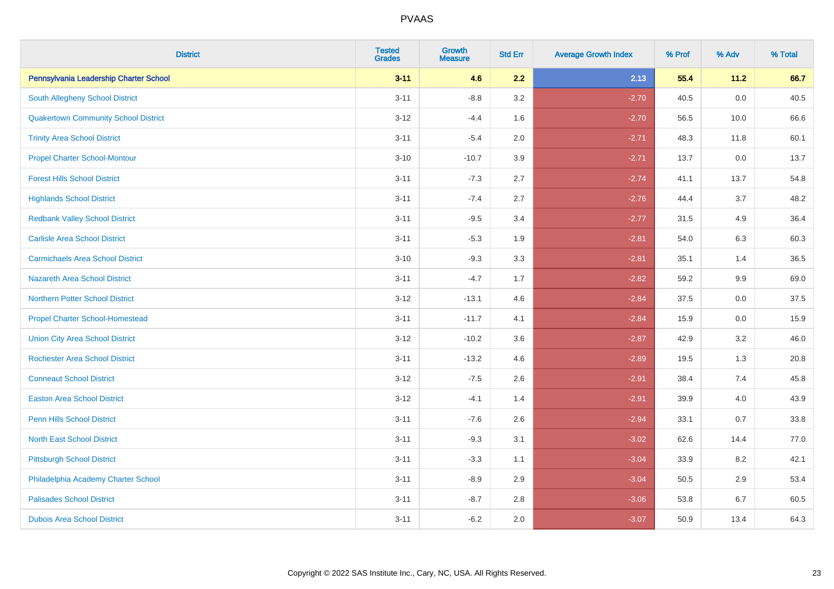| <b>District</b>                             | <b>Tested</b><br><b>Grades</b> | Growth<br><b>Measure</b> | <b>Std Err</b> | <b>Average Growth Index</b> | % Prof | % Adv | % Total |
|---------------------------------------------|--------------------------------|--------------------------|----------------|-----------------------------|--------|-------|---------|
| Pennsylvania Leadership Charter School      | $3 - 11$                       | 4.6                      | 2.2            | 2.13                        | 55.4   | 11.2  | 66.7    |
| <b>South Allegheny School District</b>      | $3 - 11$                       | $-8.8$                   | 3.2            | $-2.70$                     | 40.5   | 0.0   | 40.5    |
| <b>Quakertown Community School District</b> | $3 - 12$                       | $-4.4$                   | 1.6            | $-2.70$                     | 56.5   | 10.0  | 66.6    |
| <b>Trinity Area School District</b>         | $3 - 11$                       | $-5.4$                   | 2.0            | $-2.71$                     | 48.3   | 11.8  | 60.1    |
| <b>Propel Charter School-Montour</b>        | $3 - 10$                       | $-10.7$                  | 3.9            | $-2.71$                     | 13.7   | 0.0   | 13.7    |
| <b>Forest Hills School District</b>         | $3 - 11$                       | $-7.3$                   | 2.7            | $-2.74$                     | 41.1   | 13.7  | 54.8    |
| <b>Highlands School District</b>            | $3 - 11$                       | $-7.4$                   | 2.7            | $-2.76$                     | 44.4   | 3.7   | 48.2    |
| <b>Redbank Valley School District</b>       | $3 - 11$                       | $-9.5$                   | 3.4            | $-2.77$                     | 31.5   | 4.9   | 36.4    |
| <b>Carlisle Area School District</b>        | $3 - 11$                       | $-5.3$                   | 1.9            | $-2.81$                     | 54.0   | 6.3   | 60.3    |
| <b>Carmichaels Area School District</b>     | $3 - 10$                       | $-9.3$                   | 3.3            | $-2.81$                     | 35.1   | 1.4   | 36.5    |
| <b>Nazareth Area School District</b>        | $3 - 11$                       | $-4.7$                   | 1.7            | $-2.82$                     | 59.2   | 9.9   | 69.0    |
| <b>Northern Potter School District</b>      | $3 - 12$                       | $-13.1$                  | 4.6            | $-2.84$                     | 37.5   | 0.0   | 37.5    |
| <b>Propel Charter School-Homestead</b>      | $3 - 11$                       | $-11.7$                  | 4.1            | $-2.84$                     | 15.9   | 0.0   | 15.9    |
| <b>Union City Area School District</b>      | $3 - 12$                       | $-10.2$                  | 3.6            | $-2.87$                     | 42.9   | 3.2   | 46.0    |
| <b>Rochester Area School District</b>       | $3 - 11$                       | $-13.2$                  | 4.6            | $-2.89$                     | 19.5   | 1.3   | 20.8    |
| <b>Conneaut School District</b>             | $3 - 12$                       | $-7.5$                   | 2.6            | $-2.91$                     | 38.4   | 7.4   | 45.8    |
| <b>Easton Area School District</b>          | $3-12$                         | $-4.1$                   | 1.4            | $-2.91$                     | 39.9   | 4.0   | 43.9    |
| <b>Penn Hills School District</b>           | $3 - 11$                       | $-7.6$                   | 2.6            | $-2.94$                     | 33.1   | 0.7   | 33.8    |
| <b>North East School District</b>           | $3 - 11$                       | $-9.3$                   | 3.1            | $-3.02$                     | 62.6   | 14.4  | 77.0    |
| <b>Pittsburgh School District</b>           | $3 - 11$                       | $-3.3$                   | 1.1            | $-3.04$                     | 33.9   | 8.2   | 42.1    |
| Philadelphia Academy Charter School         | $3 - 11$                       | $-8.9$                   | 2.9            | $-3.04$                     | 50.5   | 2.9   | 53.4    |
| <b>Palisades School District</b>            | $3 - 11$                       | $-8.7$                   | 2.8            | $-3.06$                     | 53.8   | 6.7   | 60.5    |
| <b>Dubois Area School District</b>          | $3 - 11$                       | $-6.2$                   | 2.0            | $-3.07$                     | 50.9   | 13.4  | 64.3    |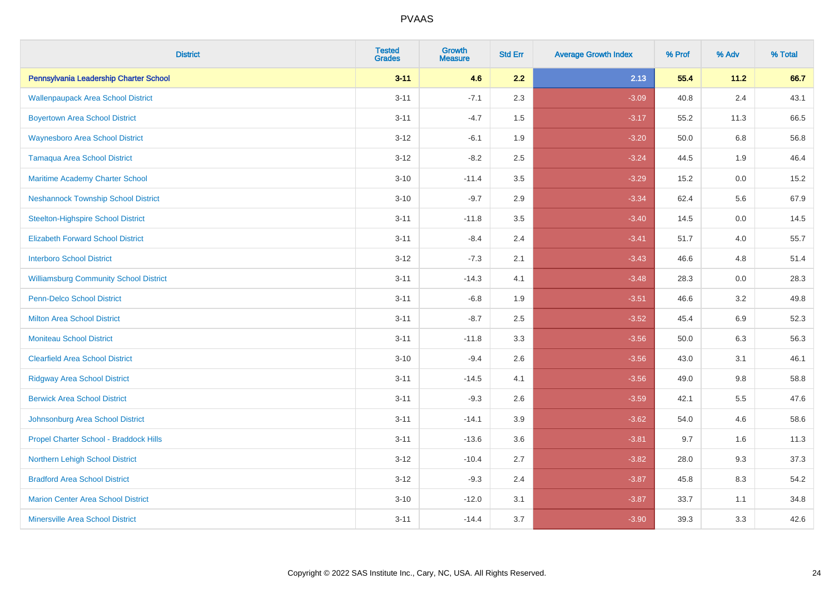| <b>District</b>                               | <b>Tested</b><br><b>Grades</b> | <b>Growth</b><br><b>Measure</b> | <b>Std Err</b> | <b>Average Growth Index</b> | % Prof | % Adv   | % Total |
|-----------------------------------------------|--------------------------------|---------------------------------|----------------|-----------------------------|--------|---------|---------|
| Pennsylvania Leadership Charter School        | $3 - 11$                       | 4.6                             | 2.2            | 2.13                        | 55.4   | 11.2    | 66.7    |
| <b>Wallenpaupack Area School District</b>     | $3 - 11$                       | $-7.1$                          | 2.3            | $-3.09$                     | 40.8   | 2.4     | 43.1    |
| <b>Boyertown Area School District</b>         | $3 - 11$                       | $-4.7$                          | 1.5            | $-3.17$                     | 55.2   | 11.3    | 66.5    |
| <b>Waynesboro Area School District</b>        | $3 - 12$                       | $-6.1$                          | 1.9            | $-3.20$                     | 50.0   | 6.8     | 56.8    |
| <b>Tamaqua Area School District</b>           | $3 - 12$                       | $-8.2$                          | 2.5            | $-3.24$                     | 44.5   | 1.9     | 46.4    |
| Maritime Academy Charter School               | $3 - 10$                       | $-11.4$                         | 3.5            | $-3.29$                     | 15.2   | 0.0     | 15.2    |
| <b>Neshannock Township School District</b>    | $3 - 10$                       | $-9.7$                          | 2.9            | $-3.34$                     | 62.4   | 5.6     | 67.9    |
| <b>Steelton-Highspire School District</b>     | $3 - 11$                       | $-11.8$                         | 3.5            | $-3.40$                     | 14.5   | 0.0     | 14.5    |
| <b>Elizabeth Forward School District</b>      | $3 - 11$                       | $-8.4$                          | 2.4            | $-3.41$                     | 51.7   | 4.0     | 55.7    |
| <b>Interboro School District</b>              | $3 - 12$                       | $-7.3$                          | 2.1            | $-3.43$                     | 46.6   | 4.8     | 51.4    |
| <b>Williamsburg Community School District</b> | $3 - 11$                       | $-14.3$                         | 4.1            | $-3.48$                     | 28.3   | 0.0     | 28.3    |
| <b>Penn-Delco School District</b>             | $3 - 11$                       | $-6.8$                          | 1.9            | $-3.51$                     | 46.6   | 3.2     | 49.8    |
| <b>Milton Area School District</b>            | $3 - 11$                       | $-8.7$                          | 2.5            | $-3.52$                     | 45.4   | 6.9     | 52.3    |
| <b>Moniteau School District</b>               | $3 - 11$                       | $-11.8$                         | 3.3            | $-3.56$                     | 50.0   | 6.3     | 56.3    |
| <b>Clearfield Area School District</b>        | $3 - 10$                       | $-9.4$                          | 2.6            | $-3.56$                     | 43.0   | 3.1     | 46.1    |
| <b>Ridgway Area School District</b>           | $3 - 11$                       | $-14.5$                         | 4.1            | $-3.56$                     | 49.0   | $9.8\,$ | 58.8    |
| <b>Berwick Area School District</b>           | $3 - 11$                       | $-9.3$                          | 2.6            | $-3.59$                     | 42.1   | 5.5     | 47.6    |
| Johnsonburg Area School District              | $3 - 11$                       | $-14.1$                         | 3.9            | $-3.62$                     | 54.0   | 4.6     | 58.6    |
| Propel Charter School - Braddock Hills        | $3 - 11$                       | $-13.6$                         | 3.6            | $-3.81$                     | 9.7    | 1.6     | 11.3    |
| Northern Lehigh School District               | $3 - 12$                       | $-10.4$                         | 2.7            | $-3.82$                     | 28.0   | 9.3     | 37.3    |
| <b>Bradford Area School District</b>          | $3 - 12$                       | $-9.3$                          | 2.4            | $-3.87$                     | 45.8   | 8.3     | 54.2    |
| <b>Marion Center Area School District</b>     | $3 - 10$                       | $-12.0$                         | 3.1            | $-3.87$                     | 33.7   | 1.1     | 34.8    |
| <b>Minersville Area School District</b>       | $3 - 11$                       | $-14.4$                         | 3.7            | $-3.90$                     | 39.3   | 3.3     | 42.6    |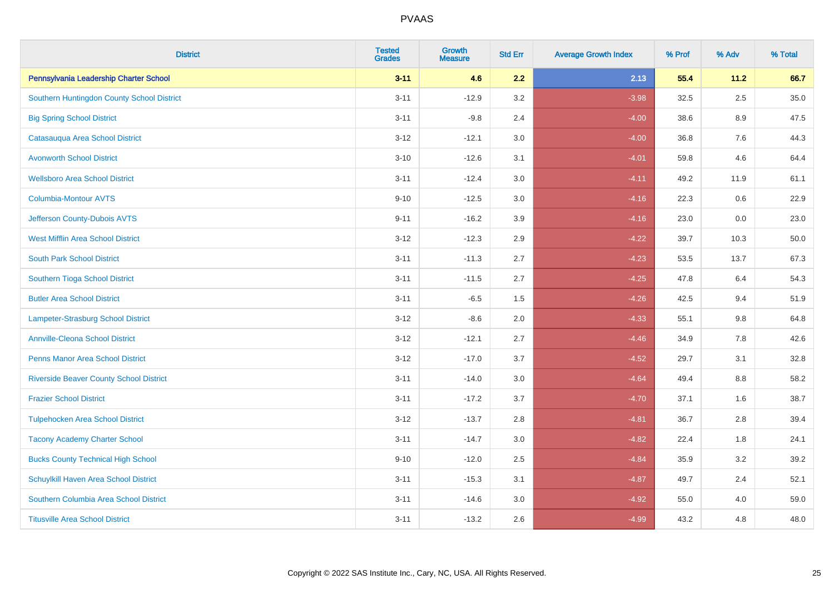| <b>District</b>                                | <b>Tested</b><br><b>Grades</b> | <b>Growth</b><br><b>Measure</b> | <b>Std Err</b> | <b>Average Growth Index</b> | % Prof | % Adv   | % Total |
|------------------------------------------------|--------------------------------|---------------------------------|----------------|-----------------------------|--------|---------|---------|
| Pennsylvania Leadership Charter School         | $3 - 11$                       | 4.6                             | 2.2            | 2.13                        | 55.4   | 11.2    | 66.7    |
| Southern Huntingdon County School District     | $3 - 11$                       | $-12.9$                         | 3.2            | $-3.98$                     | 32.5   | $2.5\,$ | 35.0    |
| <b>Big Spring School District</b>              | $3 - 11$                       | $-9.8$                          | 2.4            | $-4.00$                     | 38.6   | 8.9     | 47.5    |
| Catasauqua Area School District                | $3 - 12$                       | $-12.1$                         | 3.0            | $-4.00$                     | 36.8   | 7.6     | 44.3    |
| <b>Avonworth School District</b>               | $3 - 10$                       | $-12.6$                         | 3.1            | $-4.01$                     | 59.8   | 4.6     | 64.4    |
| <b>Wellsboro Area School District</b>          | $3 - 11$                       | $-12.4$                         | 3.0            | $-4.11$                     | 49.2   | 11.9    | 61.1    |
| Columbia-Montour AVTS                          | $9 - 10$                       | $-12.5$                         | 3.0            | $-4.16$                     | 22.3   | 0.6     | 22.9    |
| Jefferson County-Dubois AVTS                   | $9 - 11$                       | $-16.2$                         | 3.9            | $-4.16$                     | 23.0   | 0.0     | 23.0    |
| <b>West Mifflin Area School District</b>       | $3 - 12$                       | $-12.3$                         | 2.9            | $-4.22$                     | 39.7   | 10.3    | 50.0    |
| <b>South Park School District</b>              | $3 - 11$                       | $-11.3$                         | 2.7            | $-4.23$                     | 53.5   | 13.7    | 67.3    |
| Southern Tioga School District                 | $3 - 11$                       | $-11.5$                         | 2.7            | $-4.25$                     | 47.8   | 6.4     | 54.3    |
| <b>Butler Area School District</b>             | $3 - 11$                       | $-6.5$                          | 1.5            | $-4.26$                     | 42.5   | 9.4     | 51.9    |
| Lampeter-Strasburg School District             | $3 - 12$                       | $-8.6$                          | 2.0            | $-4.33$                     | 55.1   | $9.8\,$ | 64.8    |
| <b>Annville-Cleona School District</b>         | $3 - 12$                       | $-12.1$                         | 2.7            | $-4.46$                     | 34.9   | $7.8\,$ | 42.6    |
| <b>Penns Manor Area School District</b>        | $3 - 12$                       | $-17.0$                         | 3.7            | $-4.52$                     | 29.7   | 3.1     | 32.8    |
| <b>Riverside Beaver County School District</b> | $3 - 11$                       | $-14.0$                         | 3.0            | $-4.64$                     | 49.4   | 8.8     | 58.2    |
| <b>Frazier School District</b>                 | $3 - 11$                       | $-17.2$                         | 3.7            | $-4.70$                     | 37.1   | 1.6     | 38.7    |
| <b>Tulpehocken Area School District</b>        | $3 - 12$                       | $-13.7$                         | 2.8            | $-4.81$                     | 36.7   | 2.8     | 39.4    |
| <b>Tacony Academy Charter School</b>           | $3 - 11$                       | $-14.7$                         | $3.0\,$        | $-4.82$                     | 22.4   | 1.8     | 24.1    |
| <b>Bucks County Technical High School</b>      | $9 - 10$                       | $-12.0$                         | 2.5            | $-4.84$                     | 35.9   | 3.2     | 39.2    |
| Schuylkill Haven Area School District          | $3 - 11$                       | $-15.3$                         | 3.1            | $-4.87$                     | 49.7   | 2.4     | 52.1    |
| Southern Columbia Area School District         | $3 - 11$                       | $-14.6$                         | 3.0            | $-4.92$                     | 55.0   | 4.0     | 59.0    |
| <b>Titusville Area School District</b>         | $3 - 11$                       | $-13.2$                         | 2.6            | $-4.99$                     | 43.2   | 4.8     | 48.0    |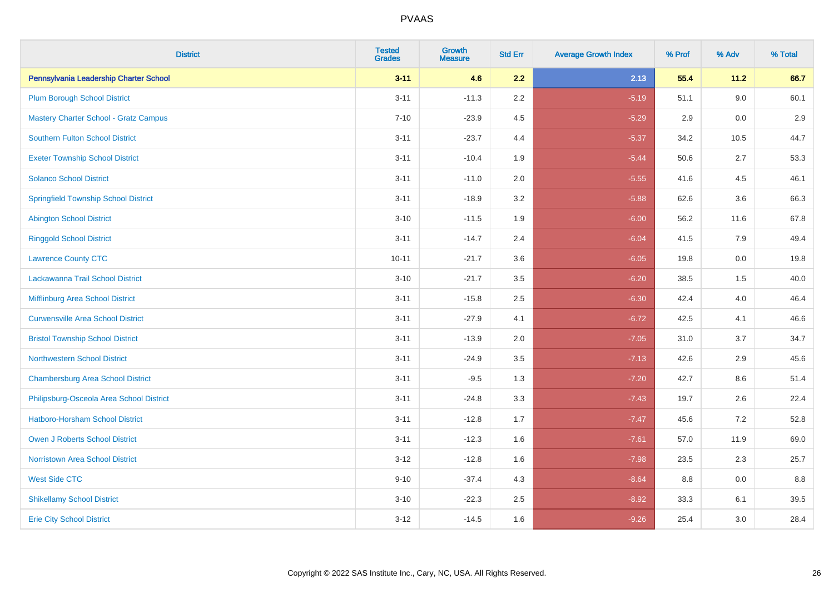| <b>District</b>                              | <b>Tested</b><br><b>Grades</b> | <b>Growth</b><br><b>Measure</b> | <b>Std Err</b> | <b>Average Growth Index</b> | % Prof | % Adv   | % Total |
|----------------------------------------------|--------------------------------|---------------------------------|----------------|-----------------------------|--------|---------|---------|
| Pennsylvania Leadership Charter School       | $3 - 11$                       | 4.6                             | 2.2            | 2.13                        | 55.4   | 11.2    | 66.7    |
| <b>Plum Borough School District</b>          | $3 - 11$                       | $-11.3$                         | 2.2            | $-5.19$                     | 51.1   | 9.0     | 60.1    |
| <b>Mastery Charter School - Gratz Campus</b> | $7 - 10$                       | $-23.9$                         | 4.5            | $-5.29$                     | 2.9    | 0.0     | 2.9     |
| Southern Fulton School District              | $3 - 11$                       | $-23.7$                         | 4.4            | $-5.37$                     | 34.2   | 10.5    | 44.7    |
| <b>Exeter Township School District</b>       | $3 - 11$                       | $-10.4$                         | 1.9            | $-5.44$                     | 50.6   | 2.7     | 53.3    |
| <b>Solanco School District</b>               | $3 - 11$                       | $-11.0$                         | 2.0            | $-5.55$                     | 41.6   | 4.5     | 46.1    |
| <b>Springfield Township School District</b>  | $3 - 11$                       | $-18.9$                         | 3.2            | $-5.88$                     | 62.6   | 3.6     | 66.3    |
| <b>Abington School District</b>              | $3 - 10$                       | $-11.5$                         | 1.9            | $-6.00$                     | 56.2   | 11.6    | 67.8    |
| <b>Ringgold School District</b>              | $3 - 11$                       | $-14.7$                         | 2.4            | $-6.04$                     | 41.5   | 7.9     | 49.4    |
| <b>Lawrence County CTC</b>                   | $10 - 11$                      | $-21.7$                         | 3.6            | $-6.05$                     | 19.8   | $0.0\,$ | 19.8    |
| Lackawanna Trail School District             | $3 - 10$                       | $-21.7$                         | 3.5            | $-6.20$                     | 38.5   | 1.5     | 40.0    |
| <b>Mifflinburg Area School District</b>      | $3 - 11$                       | $-15.8$                         | 2.5            | $-6.30$                     | 42.4   | 4.0     | 46.4    |
| <b>Curwensville Area School District</b>     | $3 - 11$                       | $-27.9$                         | 4.1            | $-6.72$                     | 42.5   | 4.1     | 46.6    |
| <b>Bristol Township School District</b>      | $3 - 11$                       | $-13.9$                         | 2.0            | $-7.05$                     | 31.0   | 3.7     | 34.7    |
| <b>Northwestern School District</b>          | $3 - 11$                       | $-24.9$                         | 3.5            | $-7.13$                     | 42.6   | 2.9     | 45.6    |
| <b>Chambersburg Area School District</b>     | $3 - 11$                       | $-9.5$                          | 1.3            | $-7.20$                     | 42.7   | 8.6     | 51.4    |
| Philipsburg-Osceola Area School District     | $3 - 11$                       | $-24.8$                         | 3.3            | $-7.43$                     | 19.7   | 2.6     | 22.4    |
| <b>Hatboro-Horsham School District</b>       | $3 - 11$                       | $-12.8$                         | 1.7            | $-7.47$                     | 45.6   | 7.2     | 52.8    |
| Owen J Roberts School District               | $3 - 11$                       | $-12.3$                         | 1.6            | $-7.61$                     | 57.0   | 11.9    | 69.0    |
| <b>Norristown Area School District</b>       | $3 - 12$                       | $-12.8$                         | 1.6            | $-7.98$                     | 23.5   | 2.3     | 25.7    |
| <b>West Side CTC</b>                         | $9 - 10$                       | $-37.4$                         | 4.3            | $-8.64$                     | 8.8    | 0.0     | 8.8     |
| <b>Shikellamy School District</b>            | $3 - 10$                       | $-22.3$                         | 2.5            | $-8.92$                     | 33.3   | 6.1     | 39.5    |
| <b>Erie City School District</b>             | $3 - 12$                       | $-14.5$                         | 1.6            | $-9.26$                     | 25.4   | 3.0     | 28.4    |